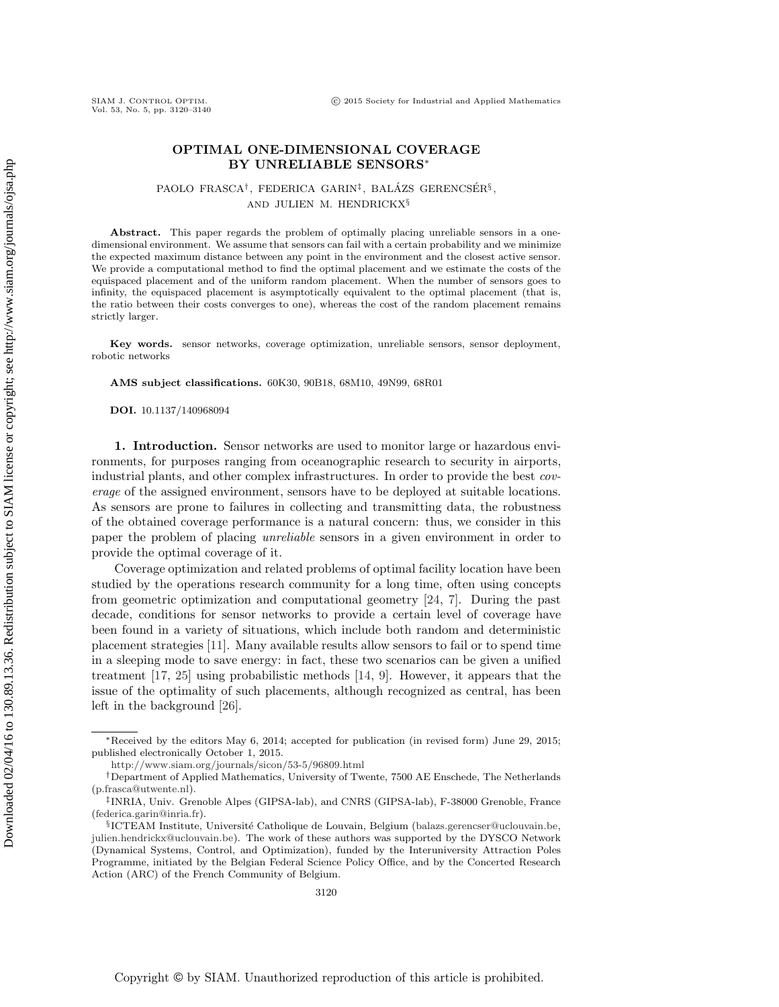# **OPTIMAL ONE-DIMENSIONAL COVERAGE BY UNRELIABLE SENSORS**<sup>∗</sup>

# PAOLO FRASCA<sup>†</sup>, FEDERICA GARIN<sup>‡</sup>, BALÁZS GERENCSÉR<sup>§</sup>, AND JULIEN M. HENDRICKX§

Abstract. This paper regards the problem of optimally placing unreliable sensors in a onedimensional environment. We assume that sensors can fail with a certain probability and we minimize the expected maximum distance between any point in the environment and the closest active sensor. We provide a computational method to find the optimal placement and we estimate the costs of the equispaced placement and of the uniform random placement. When the number of sensors goes to infinity, the equispaced placement is asymptotically equivalent to the optimal placement (that is, the ratio between their costs converges to one), whereas the cost of the random placement remains strictly larger.

**Key words.** sensor networks, coverage optimization, unreliable sensors, sensor deployment, robotic networks

**AMS subject classifications.** 60K30, 90B18, 68M10, 49N99, 68R01

**DOI.** 10.1137/140968094

**1. Introduction.** Sensor networks are used to monitor large or hazardous environments, for purposes ranging from oceanographic research to security in airports, industrial plants, and other complex infrastructures. In order to provide the best *coverage* of the assigned environment, sensors have to be deployed at suitable locations. As sensors are prone to failures in collecting and transmitting data, the robustness of the obtained coverage performance is a natural concern: thus, we consider in this paper the problem of placing *unreliable* sensors in a given environment in order to provide the optimal coverage of it.

Coverage optimization and related problems of optimal facility location have been studied by the operations research community for a long time, often using concepts from geometric optimization and computational geometry [\[24,](#page-20-0) [7\]](#page-19-0). During the past decade, conditions for sensor networks to provide a certain level of coverage have been found in a variety of situations, which include both random and deterministic placement strategies [\[11\]](#page-20-1). Many available results allow sensors to fail or to spend time in a sleeping mode to save energy: in fact, these two scenarios can be given a unified treatment [\[17,](#page-20-2) [25\]](#page-20-3) using probabilistic methods [\[14,](#page-20-4) [9\]](#page-19-1). However, it appears that the issue of the optimality of such placements, although recognized as central, has been left in the background [\[26\]](#page-20-5).

<sup>∗</sup>Received by the editors May 6, 2014; accepted for publication (in revised form) June 29, 2015; published electronically October 1, 2015.

<http://www.siam.org/journals/sicon/53-5/96809.html>

<sup>†</sup>Department of Applied Mathematics, University of Twente, 7500 AE Enschede, The Netherlands [\(p.frasca@utwente.nl\)](mailto:p.frasca@utwente.nl).

<sup>‡</sup>INRIA, Univ. Grenoble Alpes (GIPSA-lab), and CNRS (GIPSA-lab), F-38000 Grenoble, France [\(federica.garin@inria.fr\)](mailto:federica.garin@inria.fr).

 $\S$ ICTEAM Institute, Université Catholique de Louvain, Belgium [\(balazs.gerencser@uclouvain.be,](mailto:balazs.gerencser@uclouvain.be) [julien.hendrickx@uclouvain.be\)](mailto:julien.hendrickx@uclouvain.be). The work of these authors was supported by the DYSCO Network (Dynamical Systems, Control, and Optimization), funded by the Interuniversity Attraction Poles Programme, initiated by the Belgian Federal Science Policy Office, and by the Concerted Research Action (ARC) of the French Community of Belgium.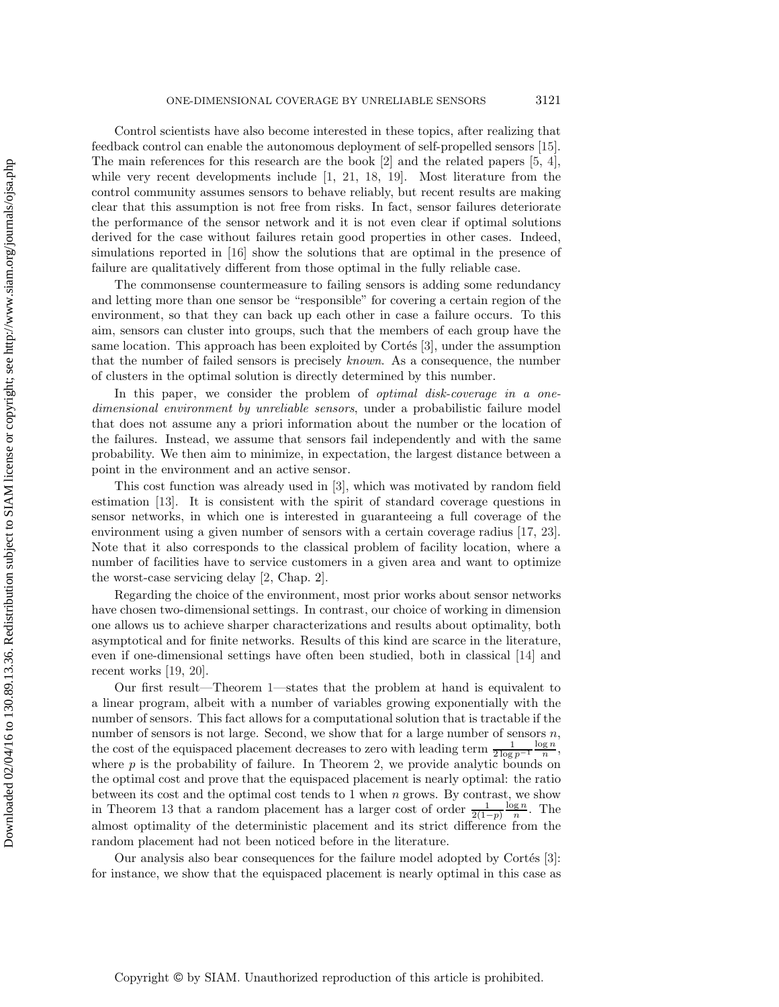Control scientists have also become interested in these topics, after realizing that feedback control can enable the autonomous deployment of self-propelled sensors [\[15\]](#page-20-6). The main references for this research are the book  $[2]$  and the related papers  $[5, 4]$  $[5, 4]$  $[5, 4]$ , while very recent developments include [\[1,](#page-19-5) [21,](#page-20-7) [18,](#page-20-8) [19\]](#page-20-9). Most literature from the control community assumes sensors to behave reliably, but recent results are making clear that this assumption is not free from risks. In fact, sensor failures deteriorate the performance of the sensor network and it is not even clear if optimal solutions derived for the case without failures retain good properties in other cases. Indeed, simulations reported in [\[16\]](#page-20-10) show the solutions that are optimal in the presence of failure are qualitatively different from those optimal in the fully reliable case.

The commonsense countermeasure to failing sensors is adding some redundancy and letting more than one sensor be "responsible" for covering a certain region of the environment, so that they can back up each other in case a failure occurs. To this aim, sensors can cluster into groups, such that the members of each group have the same location. This approach has been exploited by Cortés  $[3]$ , under the assumption that the number of failed sensors is precisely *known*. As a consequence, the number of clusters in the optimal solution is directly determined by this number.

In this paper, we consider the problem of *optimal disk-coverage in a onedimensional environment by unreliable sensors*, under a probabilistic failure model that does not assume any a priori information about the number or the location of the failures. Instead, we assume that sensors fail independently and with the same probability. We then aim to minimize, in expectation, the largest distance between a point in the environment and an active sensor.

This cost function was already used in [\[3\]](#page-19-6), which was motivated by random field estimation [\[13\]](#page-20-11). It is consistent with the spirit of standard coverage questions in sensor networks, in which one is interested in guaranteeing a full coverage of the environment using a given number of sensors with a certain coverage radius [\[17,](#page-20-2) [23\]](#page-20-12). Note that it also corresponds to the classical problem of facility location, where a number of facilities have to service customers in a given area and want to optimize the worst-case servicing delay [\[2,](#page-19-2) Chap. 2].

Regarding the choice of the environment, most prior works about sensor networks have chosen two-dimensional settings. In contrast, our choice of working in dimension one allows us to achieve sharper characterizations and results about optimality, both asymptotical and for finite networks. Results of this kind are scarce in the literature, even if one-dimensional settings have often been studied, both in classical [\[14\]](#page-20-4) and recent works [\[19,](#page-20-9) [20\]](#page-20-13).

Our first result—Theorem [1—](#page-3-0)states that the problem at hand is equivalent to a linear program, albeit with a number of variables growing exponentially with the number of sensors. This fact allows for a computational solution that is tractable if the number of sensors is not large. Second, we show that for a large number of sensors  $n$ , the cost of the equispaced placement decreases to zero with leading term  $\frac{1}{2 \log p^{-1}} \frac{\log n}{n}$ , where  $p$  is the probability of failure. In Theorem [2,](#page-4-0) we provide analytic bounds on the optimal cost and prove that the equispaced placement is nearly optimal: the ratio between its cost and the optimal cost tends to 1 when  $n$  grows. By contrast, we show in Theorem [13](#page-10-0) that a random placement has a larger cost of order  $\frac{1}{2(1-p)} \frac{\log n}{n}$ . The almost optimality of the deterministic placement and its strict difference from the random placement had not been noticed before in the literature.

Our analysis also bear consequences for the failure model adopted by Cortés [\[3\]](#page-19-6): for instance, we show that the equispaced placement is nearly optimal in this case as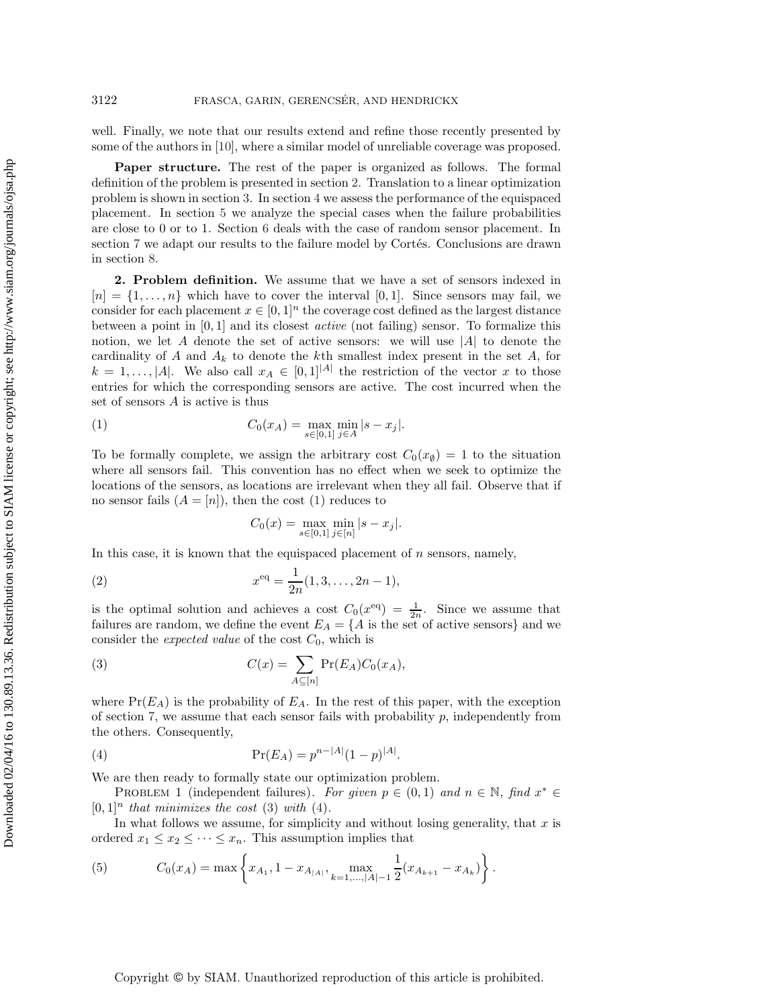well. Finally, we note that our results extend and refine those recently presented by some of the authors in [\[10\]](#page-20-14), where a similar model of unreliable coverage was proposed.

**Paper structure.** The rest of the paper is organized as follows. The formal definition of the problem is presented in section [2.](#page-2-0) Translation to a linear optimization problem is shown in section [3.](#page-3-1) In section [4](#page-4-1) we assess the performance of the equispaced placement. In section [5](#page-9-0) we analyze the special cases when the failure probabilities are close to 0 or to 1. Section [6](#page-10-1) deals with the case of random sensor placement. In section [7](#page-12-0) we adapt our results to the failure model by Cortés. Conclusions are drawn in section [8.](#page-14-0)

<span id="page-2-0"></span>**2. Problem definition.** We assume that we have a set of sensors indexed in  $[n] = \{1, \ldots, n\}$  which have to cover the interval [0, 1]. Since sensors may fail, we consider for each placement  $x \in [0, 1]^n$  the coverage cost defined as the largest distance between a point in [0, 1] and its closest *active* (not failing) sensor. To formalize this notion, we let A denote the set of active sensors: we will use  $|A|$  to denote the cardinality of  $A$  and  $A_k$  to denote the kth smallest index present in the set  $A$ , for  $k = 1, \ldots, |A|$ . We also call  $x_A \in [0,1]^{|A|}$  the restriction of the vector x to those entries for which the corresponding sensors are active. The cost incurred when the set of sensors A is active is thus

(1) 
$$
C_0(x_A) = \max_{s \in [0,1]} \min_{j \in A} |s - x_j|.
$$

To be formally complete, we assign the arbitrary cost  $C_0(x_{\phi}) = 1$  to the situation where all sensors fail. This convention has no effect when we seek to optimize the locations of the sensors, as locations are irrelevant when they all fail. Observe that if no sensor fails  $(A = [n])$ , then the cost [\(1\)](#page-2-1) reduces to

<span id="page-2-4"></span><span id="page-2-2"></span><span id="page-2-1"></span>
$$
C_0(x) = \max_{s \in [0,1]} \min_{j \in [n]} |s - x_j|.
$$

In this case, it is known that the equispaced placement of  $n$  sensors, namely,

(2) 
$$
x^{eq} = \frac{1}{2n}(1, 3, \dots, 2n - 1),
$$

is the optimal solution and achieves a cost  $C_0(x^{eq}) = \frac{1}{2n}$ . Since we assume that failures are random, we define the event  $E_A = \{A \text{ is the set of active sensors}\}\$ and we consider the *expected value* of the cost  $C_0$ , which is

(3) 
$$
C(x) = \sum_{A \subseteq [n]} \Pr(E_A) C_0(x_A),
$$

where  $Pr(E_A)$  is the probability of  $E_A$ . In the rest of this paper, with the exception of section [7,](#page-12-0) we assume that each sensor fails with probability  $p$ , independently from the others. Consequently,

<span id="page-2-3"></span>(4) 
$$
\Pr(E_A) = p^{n-|A|}(1-p)^{|A|}.
$$

We are then ready to formally state our optimization problem.

**PROBLEM 1** (independent failures). For given  $p \in (0,1)$  and  $n \in \mathbb{N}$ , find  $x^* \in$  $[0, 1]$ <sup>n</sup> that minimizes the cost [\(3\)](#page-2-2) with [\(4\)](#page-2-3).

In what follows we assume, for simplicity and without losing generality, that  $x$  is ordered  $x_1 \leq x_2 \leq \cdots \leq x_n$ . This assumption implies that

<span id="page-2-5"></span>(5) 
$$
C_0(x_A) = \max \left\{ x_{A_1}, 1 - x_{A_{|A|}}, \max_{k=1,\dots,|A|-1} \frac{1}{2} (x_{A_{k+1}} - x_{A_k}) \right\}.
$$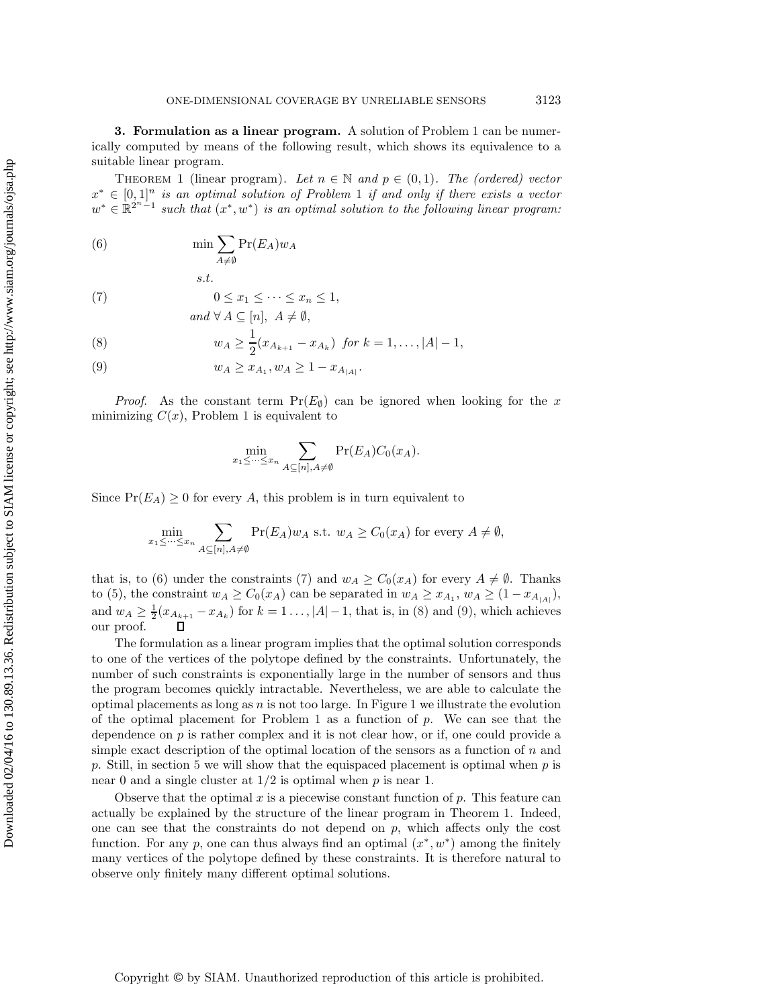<span id="page-3-1"></span>**3. Formulation as a linear program.** A solution of Problem [1](#page-2-4) can be numerically computed by means of the following result, which shows its equivalence to a suitable linear program.

<span id="page-3-0"></span>THEOREM 1 (linear program). Let  $n \in \mathbb{N}$  and  $p \in (0,1)$ . The (ordered) vector x<sup>∗</sup> ∈ [0, 1]<sup>n</sup> *is an optimal solution of Problem* [1](#page-2-4) *if and only if there exists a vector*  $w^* \in \mathbb{R}^{2^n-1}$  *such that*  $(x^*, w^*)$  *is an optimal solution to the following linear program:* 

<span id="page-3-2"></span>(6) 
$$
\min \sum_{A \neq \emptyset} \Pr(E_A) w_A
$$

s.t.

<span id="page-3-3"></span>(7) 
$$
0 \le x_1 \le \cdots \le x_n \le 1,
$$
  
and  $\forall A \subseteq [n], A \neq \emptyset$ ,

<span id="page-3-4"></span>(8) 
$$
w_A \geq \frac{1}{2}(x_{A_{k+1}} - x_{A_k}) \text{ for } k = 1, ..., |A| - 1,
$$

<span id="page-3-5"></span>(9) 
$$
w_A \ge x_{A_1}, w_A \ge 1 - x_{A_{|A|}}.
$$

*Proof.* As the constant term  $Pr(E_{\emptyset})$  can be ignored when looking for the x minimizing  $C(x)$ , Problem [1](#page-2-4) is equivalent to

$$
\min_{x_1 \le \dots \le x_n} \sum_{A \subseteq [n], A \ne \emptyset} \Pr(E_A) C_0(x_A).
$$

Since  $Pr(E_A) \geq 0$  for every A, this problem is in turn equivalent to

$$
\min_{x_1 \leq \dots \leq x_n} \sum_{A \subseteq [n], A \neq \emptyset} \Pr(E_A) w_A \text{ s.t. } w_A \geq C_0(x_A) \text{ for every } A \neq \emptyset,
$$

that is, to [\(6\)](#page-3-2) under the constraints [\(7\)](#page-3-3) and  $w_A \geq C_0(x_A)$  for every  $A \neq \emptyset$ . Thanks to [\(5\)](#page-2-5), the constraint  $w_A \geq C_0(x_A)$  can be separated in  $w_A \geq x_{A_1}, w_A \geq (1 - x_{A_{|A|}})$ , and  $w_A \geq \frac{1}{2}(x_{A_{k+1}} - x_{A_k})$  for  $k = 1 \ldots, |A| - 1$ , that is, in [\(8\)](#page-3-4) and [\(9\)](#page-3-5), which achieves our proof.

The formulation as a linear program implies that the optimal solution corresponds to one of the vertices of the polytope defined by the constraints. Unfortunately, the number of such constraints is exponentially large in the number of sensors and thus the program becomes quickly intractable. Nevertheless, we are able to calculate the optimal placements as long as  $n$  is not too large. In Figure [1](#page-4-2) we illustrate the evolution of the optimal placement for Problem [1](#page-2-4) as a function of  $p$ . We can see that the dependence on  $p$  is rather complex and it is not clear how, or if, one could provide a simple exact description of the optimal location of the sensors as a function of  $n$  and p. Still, in section [5](#page-9-0) we will show that the equispaced placement is optimal when  $p$  is near 0 and a single cluster at  $1/2$  is optimal when p is near 1.

Observe that the optimal x is a piecewise constant function of  $p$ . This feature can actually be explained by the structure of the linear program in Theorem [1.](#page-3-0) Indeed, one can see that the constraints do not depend on  $p$ , which affects only the cost function. For any p, one can thus always find an optimal  $(x^*, w^*)$  among the finitely many vertices of the polytope defined by these constraints. It is therefore natural to observe only finitely many different optimal solutions.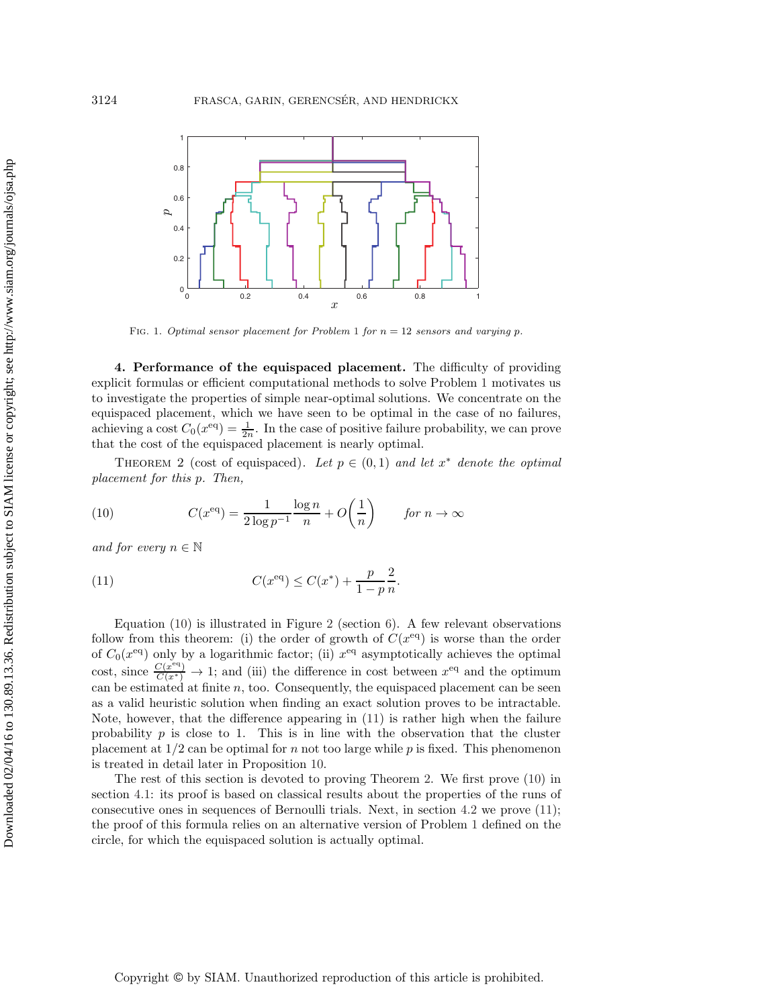

<span id="page-4-2"></span>FIG. [1](#page-2-4). *Optimal sensor placement for Problem* 1 *for*  $n = 12$  *sensors and varying*  $p$ *.* 

<span id="page-4-1"></span>**4. Performance of the equispaced placement.** The difficulty of providing explicit formulas or efficient computational methods to solve Problem [1](#page-2-4) motivates us to investigate the properties of simple near-optimal solutions. We concentrate on the equispaced placement, which we have seen to be optimal in the case of no failures, achieving a cost  $C_0(x^{eq}) = \frac{1}{2n}$ . In the case of positive failure probability, we can prove that the cost of the equispaced placement is nearly optimal.

<span id="page-4-3"></span><span id="page-4-0"></span>THEOREM 2 (cost of equispaced). Let  $p \in (0,1)$  and let  $x^*$  denote the optimal *placement for this* p*. Then,*

(10) 
$$
C(x^{\text{eq}}) = \frac{1}{2 \log p^{-1}} \frac{\log n}{n} + O\left(\frac{1}{n}\right) \qquad \text{for } n \to \infty
$$

<span id="page-4-4"></span>*and for every*  $n \in \mathbb{N}$ 

(11) 
$$
C(x^{eq}) \leq C(x^*) + \frac{p}{1-p}\frac{2}{n}.
$$

Equation  $(10)$  is illustrated in Figure [2](#page-10-2) (section [6\)](#page-10-1). A few relevant observations follow from this theorem: (i) the order of growth of  $C(x^{eq})$  is worse than the order of  $C_0(x^{eq})$  only by a logarithmic factor; (ii)  $x^{eq}$  asymptotically achieves the optimal cost, since  $\frac{C(x^{eq})}{C(x^*)} \to 1$ ; and (iii) the difference in cost between  $x^{eq}$  and the optimum can be estimated at finite  $n$ , too. Consequently, the equispaced placement can be seen as a valid heuristic solution when finding an exact solution proves to be intractable. Note, however, that the difference appearing in [\(11\)](#page-4-4) is rather high when the failure probability  $p$  is close to 1. This is in line with the observation that the cluster placement at  $1/2$  can be optimal for n not too large while p is fixed. This phenomenon is treated in detail later in Proposition [10.](#page-9-1)

The rest of this section is devoted to proving Theorem [2.](#page-4-0) We first prove [\(10\)](#page-4-3) in section [4.1:](#page-5-0) its proof is based on classical results about the properties of the runs of consecutive ones in sequences of Bernoulli trials. Next, in section [4.2](#page-6-0) we prove [\(11\)](#page-4-4); the proof of this formula relies on an alternative version of Problem [1](#page-2-4) defined on the circle, for which the equispaced solution is actually optimal.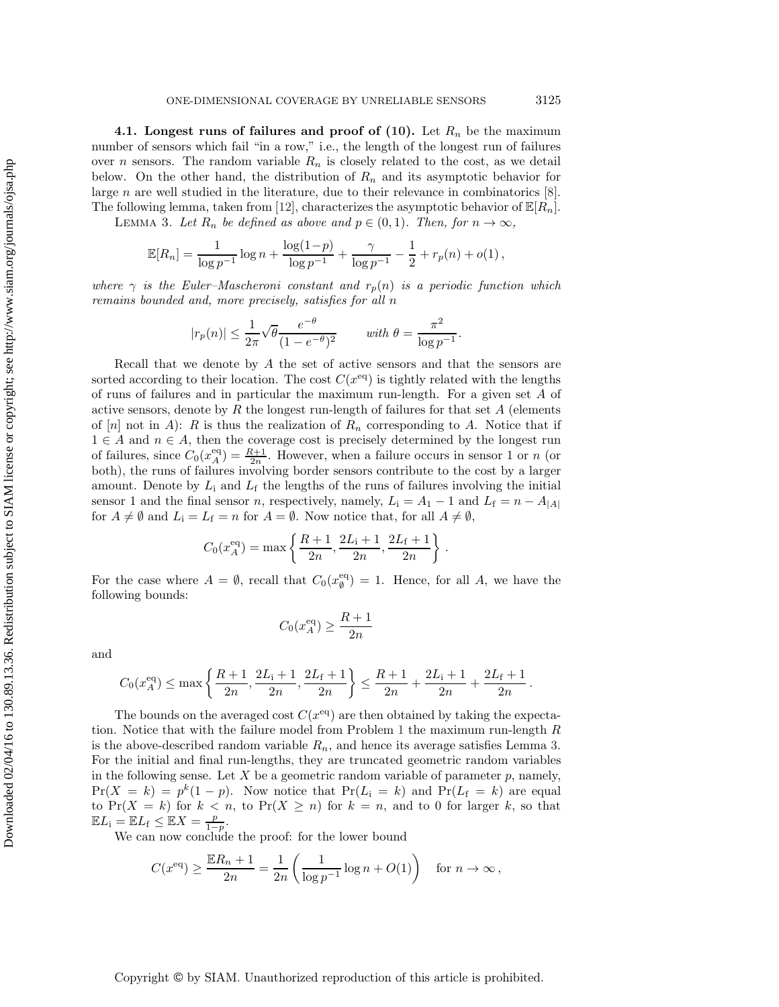<span id="page-5-0"></span>**4.1.** Longest runs of failures and proof of  $(10)$ . Let  $R_n$  be the maximum number of sensors which fail "in a row," i.e., the length of the longest run of failures over *n* sensors. The random variable  $R_n$  is closely related to the cost, as we detail below. On the other hand, the distribution of  $R_n$  and its asymptotic behavior for large n are well studied in the literature, due to their relevance in combinatorics [\[8\]](#page-19-7). The following lemma, taken from [\[12\]](#page-20-15), characterizes the asymptotic behavior of  $\mathbb{E}[R_n]$ .

LEMMA 3. Let  $R_n$  be defined as above and  $p \in (0,1)$ . Then, for  $n \to \infty$ ,

$$
\mathbb{E}[R_n] = \frac{1}{\log p^{-1}} \log n + \frac{\log(1-p)}{\log p^{-1}} + \frac{\gamma}{\log p^{-1}} - \frac{1}{2} + r_p(n) + o(1),
$$

*where*  $\gamma$  *is the Euler–Mascheroni constant and*  $r_p(n)$  *is a periodic function which remains bounded and, more precisely, satisfies for all* n

<span id="page-5-1"></span>
$$
|r_p(n)| \le \frac{1}{2\pi} \sqrt{\theta} \frac{e^{-\theta}}{(1 - e^{-\theta})^2} \quad \text{with } \theta = \frac{\pi^2}{\log p^{-1}}.
$$

Recall that we denote by A the set of active sensors and that the sensors are sorted according to their location. The cost  $C(x<sup>eq</sup>)$  is tightly related with the lengths of runs of failures and in particular the maximum run-length. For a given set A of active sensors, denote by  $R$  the longest run-length of failures for that set  $A$  (elements of  $[n]$  not in A): R is thus the realization of  $R_n$  corresponding to A. Notice that if  $1 \in A$  and  $n \in A$ , then the coverage cost is precisely determined by the longest run of failures, since  $C_0(x_A^{\text{eq}}) = \frac{R+1}{2n}$ . However, when a failure occurs in sensor 1 or n (or both), the runs of failures involving border sensors contribute to the cost by a larger amount. Denote by  $L_i$  and  $L_f$  the lengths of the runs of failures involving the initial sensor 1 and the final sensor n, respectively, namely,  $L_i = A_1 - 1$  and  $L_f = n - A_{|A|}$ for  $A \neq \emptyset$  and  $L_i = L_f = n$  for  $A = \emptyset$ . Now notice that, for all  $A \neq \emptyset$ ,

$$
C_0(x_A^{\text{eq}}) = \max\left\{\frac{R+1}{2n}, \frac{2L_i+1}{2n}, \frac{2L_f+1}{2n}\right\}.
$$

For the case where  $A = \emptyset$ , recall that  $C_0(x_{\emptyset}^{eq}) = 1$ . Hence, for all A, we have the following bounds:

$$
C_0(x_A^{\text{eq}}) \ge \frac{R+1}{2n}
$$

and

$$
C_0(x_A^{\text{eq}}) \le \max\left\{\frac{R+1}{2n}, \frac{2L_i+1}{2n}, \frac{2L_f+1}{2n}\right\} \le \frac{R+1}{2n} + \frac{2L_i+1}{2n} + \frac{2L_f+1}{2n}.
$$

The bounds on the averaged cost  $C(x^{eq})$  are then obtained by taking the expectation. Notice that with the failure model from Problem [1](#page-2-4) the maximum run-length R is the above-described random variable  $R_n$ , and hence its average satisfies Lemma [3.](#page-5-1) For the initial and final run-lengths, they are truncated geometric random variables in the following sense. Let  $X$  be a geometric random variable of parameter  $p$ , namely,  $Pr(X = k) = p^{k}(1-p)$ . Now notice that  $Pr(L_i = k)$  and  $Pr(L_f = k)$  are equal to Pr(X = k) for  $k < n$ , to Pr(X  $\geq n$ ) for  $k = n$ , and to 0 for larger k, so that  $\mathbb{E}L_i = \mathbb{E}L_f \leq \mathbb{E}X = \frac{p}{1-p}.$ 

We can now conclude the proof: for the lower bound

$$
C(x^{\text{eq}}) \ge \frac{\mathbb{E}R_n + 1}{2n} = \frac{1}{2n} \left( \frac{1}{\log p^{-1}} \log n + O(1) \right) \quad \text{for } n \to \infty,
$$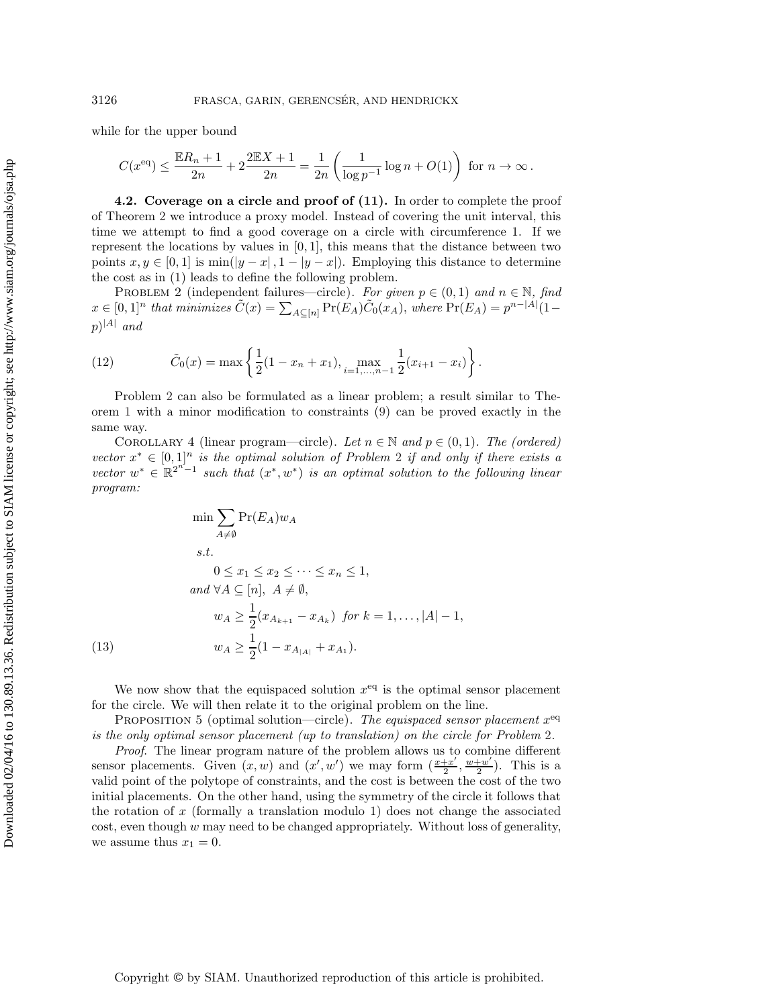while for the upper bound

<span id="page-6-1"></span>
$$
C(x^{\text{eq}})\leq \frac{\mathbb{E}R_n+1}{2n}+2\frac{2\mathbb{E}X+1}{2n}=\frac{1}{2n}\left(\frac{1}{\log p^{-1}}\log n+O(1)\right)\text{ for } n\to\infty\,.
$$

<span id="page-6-0"></span>**4.2. Coverage on a circle and proof of [\(11\)](#page-4-4).** In order to complete the proof of Theorem [2](#page-4-0) we introduce a proxy model. Instead of covering the unit interval, this time we attempt to find a good coverage on a circle with circumference 1. If we represent the locations by values in  $[0, 1]$ , this means that the distance between two points  $x, y \in [0, 1]$  is  $\min(|y - x|, 1 - |y - x|)$ . Employing this distance to determine the cost as in [\(1\)](#page-2-1) leads to define the following problem.

PROBLEM 2 (independent failures—circle). For given  $p \in (0,1)$  and  $n \in \mathbb{N}$ , find  $x \in [0,1]^n$  that minimizes  $\tilde{C}(x) = \sum_{A \subseteq [n]} Pr(E_A) \tilde{C}_0(x_A)$ , where  $Pr(E_A) = p^{n-|A|} (1-p)^n$  $(p)^{|A|}$  *and* 

(12) 
$$
\tilde{C}_0(x) = \max \left\{ \frac{1}{2} (1 - x_n + x_1), \max_{i=1,\dots,n-1} \frac{1}{2} (x_{i+1} - x_i) \right\}.
$$

Problem [2](#page-6-1) can also be formulated as a linear problem; a result similar to Theorem [1](#page-3-0) with a minor modification to constraints [\(9\)](#page-3-5) can be proved exactly in the same way.

COROLLARY 4 (linear program—circle). Let  $n \in \mathbb{N}$  and  $p \in (0,1)$ . The (ordered) *vector*  $x^*$  ∈ [0, 1]<sup>n</sup> *is the optimal solution of Problem* [2](#page-6-1) *if and only if there exists a vector*  $w^* \in \mathbb{R}^{2^{n}-1}$  *such that*  $(x^*, w^*)$  *is an optimal solution to the following linear program:*

$$
\min \sum_{A \neq \emptyset} \Pr(E_A) w_A
$$
  
s.t.  

$$
0 \le x_1 \le x_2 \le \dots \le x_n \le 1,
$$
  
and  $\forall A \subseteq [n], A \neq \emptyset,$   

$$
w_A \ge \frac{1}{2} (x_{A_{k+1}} - x_{A_k}) \text{ for } k = 1, ..., |A| - 1,
$$
  
(13)  

$$
w_A \ge \frac{1}{2} (1 - x_{A_{|A|}} + x_{A_1}).
$$

We now show that the equispaced solution  $x^{eq}$  is the optimal sensor placement for the circle. We will then relate it to the original problem on the line.

<span id="page-6-2"></span>PROPOSITION 5 (optimal solution—circle). *The equispaced sensor placement*  $x^{eq}$ *is the only optimal sensor placement (up to translation) on the circle for Problem* [2](#page-6-1)*.*

*Proof*. The linear program nature of the problem allows us to combine different sensor placements. Given  $(x, w)$  and  $(x', w')$  we may form  $(\frac{x+x'}{2}, \frac{w+w'}{2})$ . This is a valid point of the polytope of constraints, and the cost is between the cost of the two initial placements. On the other hand, using the symmetry of the circle it follows that the rotation of  $x$  (formally a translation modulo 1) does not change the associated  $cost,$  even though  $w$  may need to be changed appropriately. Without loss of generality, we assume thus  $x_1 = 0$ .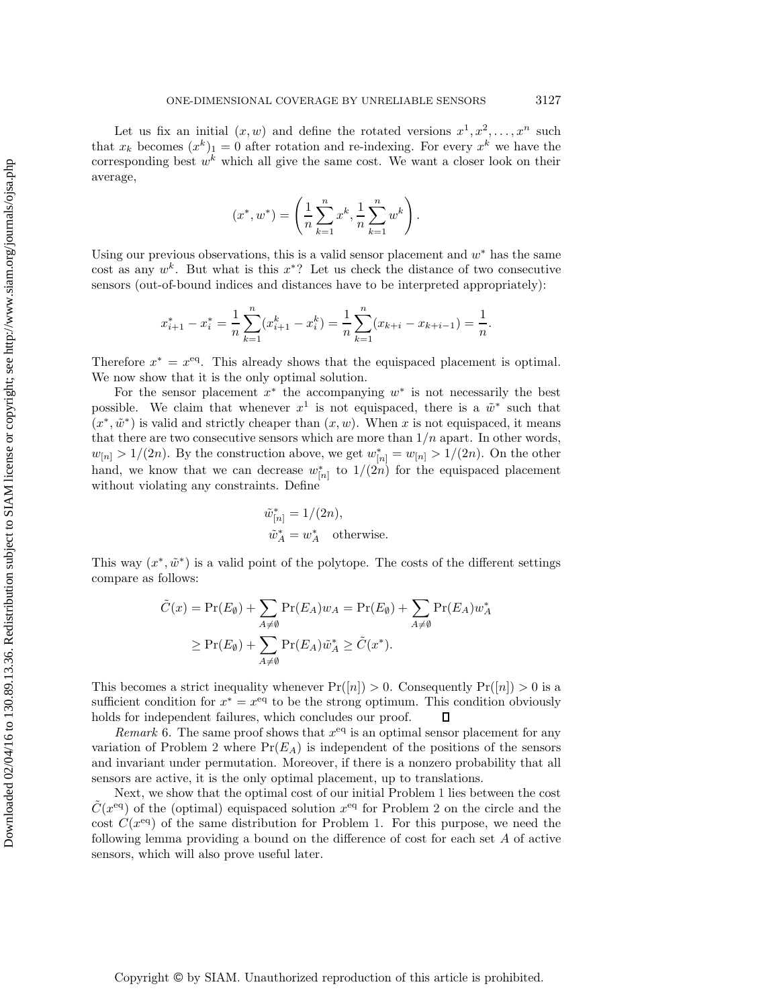Let us fix an initial  $(x, w)$  and define the rotated versions  $x^1, x^2, \ldots, x^n$  such that  $x_k$  becomes  $(x^k)_1 = 0$  after rotation and re-indexing. For every  $x^k$  we have the corresponding best  $w^k$  which all give the same cost. We want a closer look on their average,

$$
(x^*, w^*) = \left(\frac{1}{n}\sum_{k=1}^n x^k, \frac{1}{n}\sum_{k=1}^n w^k\right).
$$

Using our previous observations, this is a valid sensor placement and  $w^*$  has the same cost as any  $w^k$ . But what is this  $x^*$ ? Let us check the distance of two consecutive sensors (out-of-bound indices and distances have to be interpreted appropriately):

$$
x_{i+1}^* - x_i^* = \frac{1}{n} \sum_{k=1}^n (x_{i+1}^k - x_i^k) = \frac{1}{n} \sum_{k=1}^n (x_{k+i} - x_{k+i-1}) = \frac{1}{n}.
$$

Therefore  $x^* = x^{\text{eq}}$ . This already shows that the equispaced placement is optimal. We now show that it is the only optimal solution.

For the sensor placement  $x^*$  the accompanying  $w^*$  is not necessarily the best possible. We claim that whenever  $x^1$  is not equispaced, there is a  $\tilde{w}^*$  such that  $(x^*, \tilde{w}^*)$  is valid and strictly cheaper than  $(x, w)$ . When x is not equispaced, it means that there are two consecutive sensors which are more than  $1/n$  apart. In other words,  $w_{[n]} > 1/(2n)$ . By the construction above, we get  $w_{[n]}^* = w_{[n]} > 1/(2n)$ . On the other hand, we know that we can decrease  $w_{[n]}^*$  to  $1/(2n)$  for the equispaced placement without violating any constraints. Define

$$
\tilde{w}_{[n]}^* = 1/(2n),
$$
  

$$
\tilde{w}_A^* = w_A^*
$$
 otherwise.

This way  $(x^*, \tilde{w}^*)$  is a valid point of the polytope. The costs of the different settings compare as follows:

$$
\tilde{C}(x) = \Pr(E_{\emptyset}) + \sum_{A \neq \emptyset} \Pr(E_A) w_A = \Pr(E_{\emptyset}) + \sum_{A \neq \emptyset} \Pr(E_A) w_A^*
$$
  
\n
$$
\geq \Pr(E_{\emptyset}) + \sum_{A \neq \emptyset} \Pr(E_A) \tilde{w}_A^* \geq \tilde{C}(x^*).
$$

This becomes a strict inequality whenever  $Pr([n]) > 0$ . Consequently  $Pr([n]) > 0$  is a sufficient condition for  $x^* = x^{\text{eq}}$  to be the strong optimum. This condition obviously holds for independent failures, which concludes our proof. Д

<span id="page-7-0"></span>*Remark* 6. The same proof shows that  $x^{eq}$  is an optimal sensor placement for any variation of Problem [2](#page-6-1) where  $Pr(E_A)$  is independent of the positions of the sensors and invariant under permutation. Moreover, if there is a nonzero probability that all sensors are active, it is the only optimal placement, up to translations.

Next, we show that the optimal cost of our initial Problem [1](#page-2-4) lies between the cost  $\tilde{C}(x^{eq})$  of the (optimal) equispaced solution  $x^{eq}$  for Problem [2](#page-6-1) on the circle and the cost  $C(x^{eq})$  of the same distribution for Problem [1.](#page-2-4) For this purpose, we need the following lemma providing a bound on the difference of cost for each set A of active sensors, which will also prove useful later.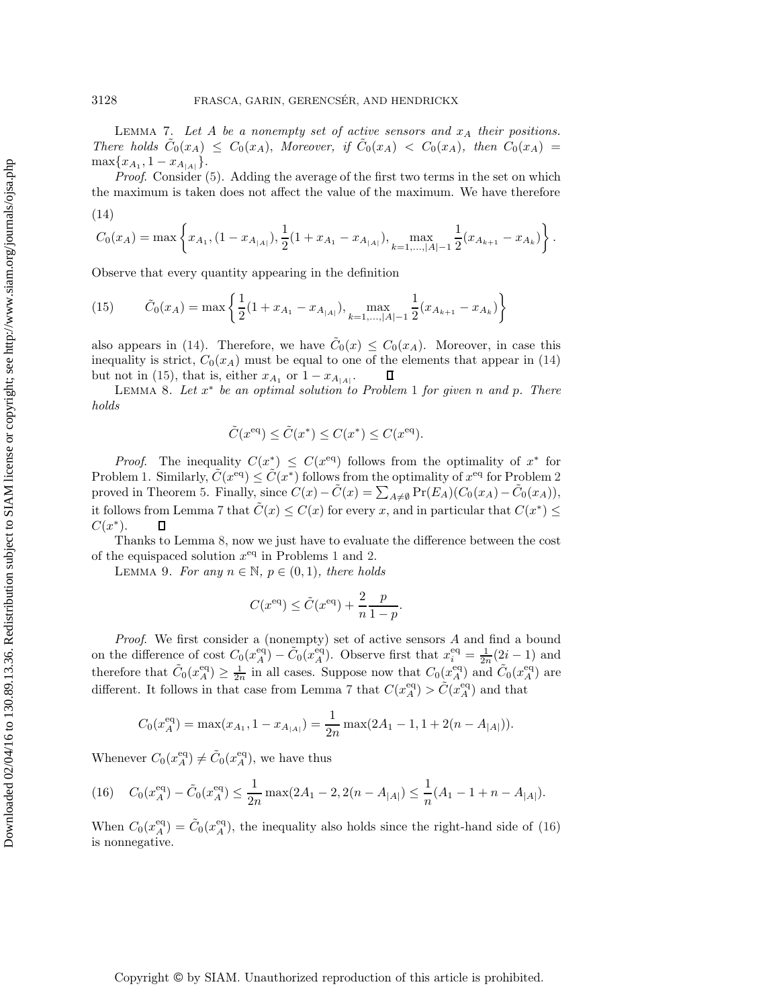<span id="page-8-2"></span>LEMMA 7. Let  $A$  be a nonempty set of active sensors and  $x_A$  their positions. *There holds*  $\tilde{C}_0(x_A) \leq C_0(x_A)$ , *Moreover, if*  $\tilde{C}_0(x_A) < C_0(x_A)$ , *then*  $C_0(x_A)$  $\max\{x_{A_1}, 1-x_{A_{|A|}}\}.$ 

*Proof*. Consider [\(5\)](#page-2-5). Adding the average of the first two terms in the set on which the maximum is taken does not affect the value of the maximum. We have therefore (14)

$$
C_0(x_A) = \max \left\{ x_{A_1}, (1 - x_{A_{|A|}}), \frac{1}{2}(1 + x_{A_1} - x_{A_{|A|}}), \max_{k=1,\dots,|A|-1} \frac{1}{2}(x_{A_{k+1}} - x_{A_k}) \right\}.
$$

Observe that every quantity appearing in the definition

(15) 
$$
\tilde{C}_0(x_A) = \max\left\{\frac{1}{2}(1 + x_{A_1} - x_{A_{|A|}}), \max_{k=1,\dots,|A|-1} \frac{1}{2}(x_{A_{k+1}} - x_{A_k})\right\}
$$

also appears in [\(14\)](#page-8-0). Therefore, we have  $\tilde{C}_0(x) \leq C_0(x_A)$ . Moreover, in case this inequality is strict,  $C_0(x_A)$  must be equal to one of the elements that appear in [\(14\)](#page-8-0) but not in [\(15\)](#page-8-1), that is, either  $x_{A_1}$  or  $1 - x_{A_{|A|}}$ .  $\Box$ 

<span id="page-8-3"></span>Lemma 8. *Let* x<sup>∗</sup> *be an optimal solution to Problem* [1](#page-2-4) *for given* n *and* p*. There holds*

<span id="page-8-1"></span><span id="page-8-0"></span>
$$
\tilde{C}(x^{\text{eq}}) \le \tilde{C}(x^*) \le C(x^*) \le C(x^{\text{eq}}).
$$

*Proof.* The inequality  $C(x^*) \leq C(x^{eq})$  follows from the optimality of  $x^*$  for Problem [1.](#page-2-4) Similarly,  $\tilde{C}(x^{eq}) \leq \tilde{C}(x^*)$  follows from the optimality of  $x^{eq}$  for Problem [2](#page-6-1) proved in Theorem [5.](#page-6-2) Finally, since  $C(x) - \tilde{C}(x) = \sum_{A \neq \emptyset} Pr(E_A)(C_0(x_A) - \tilde{C}_0(x_A)),$ it follows from Lemma [7](#page-8-2) that  $\tilde{C}(x) \leq C(x)$  for every x, and in particular that  $C(x^*) \leq C(x)$  $C(x^*).$ П

<span id="page-8-5"></span>Thanks to Lemma [8,](#page-8-3) now we just have to evaluate the difference between the cost of the equispaced solution  $x^{eq}$  in Problems [1](#page-2-4) and [2.](#page-6-1)

LEMMA 9. For any  $n \in \mathbb{N}$ ,  $p \in (0,1)$ , there holds

<span id="page-8-4"></span>
$$
C(x^{\text{eq}}) \leq \tilde{C}(x^{\text{eq}}) + \frac{2}{n} \frac{p}{1-p}.
$$

*Proof*. We first consider a (nonempty) set of active sensors A and find a bound on the difference of cost  $C_0(x_A^{\text{eq}}) - \tilde{C}_0(x_A^{\text{eq}})$ . Observe first that  $x_i^{\text{eq}} = \frac{1}{2n}(2i-1)$  and therefore that  $\tilde{C}_0(x_A^{\text{eq}}) \ge \frac{1}{2n}$  in all cases. Suppose now that  $C_0(x_A^{\text{eq}})$  and  $\tilde{C}_0(x_A^{\text{eq}})$  are different. It follows in that case from Lemma [7](#page-8-2) that  $C(x_A^{\text{eq}}) > \tilde{C}(x_A^{\text{eq}})$  and that

$$
C_0(x_A^{\text{eq}}) = \max(x_{A_1}, 1 - x_{A_{|A|}}) = \frac{1}{2n} \max(2A_1 - 1, 1 + 2(n - A_{|A|})).
$$

Whenever  $C_0(x_A^{\text{eq}}) \neq \tilde{C}_0(x_A^{\text{eq}})$ , we have thus

(16) 
$$
C_0(x_A^{\text{eq}}) - \tilde{C}_0(x_A^{\text{eq}}) \le \frac{1}{2n} \max(2A_1 - 2, 2(n - A_{|A|}) \le \frac{1}{n}(A_1 - 1 + n - A_{|A|}).
$$

When  $C_0(x_A^{\text{eq}}) = \tilde{C}_0(x_A^{\text{eq}})$ , the inequality also holds since the right-hand side of [\(16\)](#page-8-4) is nonnegative.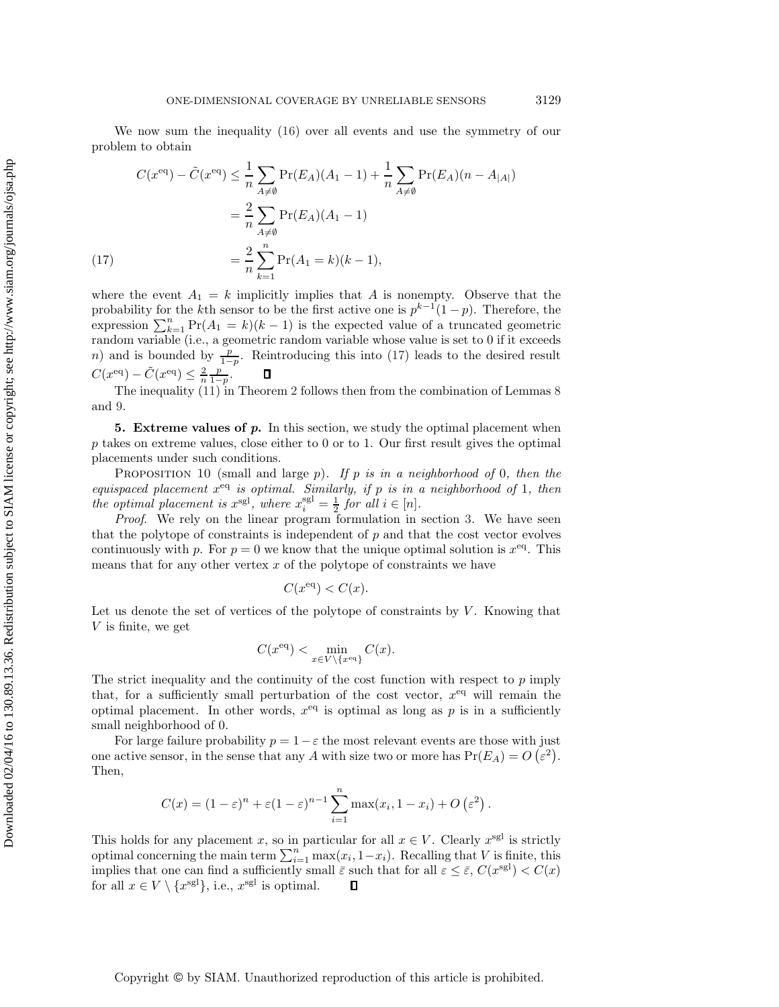We now sum the inequality [\(16\)](#page-8-4) over all events and use the symmetry of our problem to obtain

(17)  
\n
$$
C(x^{eq}) - \tilde{C}(x^{eq}) \le \frac{1}{n} \sum_{A \neq \emptyset} \Pr(E_A)(A_1 - 1) + \frac{1}{n} \sum_{A \neq \emptyset} \Pr(E_A)(n - A_{|A|})
$$
\n
$$
= \frac{2}{n} \sum_{A \neq \emptyset} \Pr(E_A)(A_1 - 1)
$$
\n
$$
= \frac{2}{n} \sum_{k=1}^n \Pr(A_1 = k)(k - 1),
$$

<span id="page-9-2"></span>where the event  $A_1 = k$  implicitly implies that A is nonempty. Observe that the probability for the kth sensor to be the first active one is  $p^{k-1}(1-p)$ . Therefore, the expression  $\sum_{k=1}^{n} Pr(A_1 = k)(k-1)$  is the expected value of a truncated geometric random variable (i.e., a geometric random variable whose value is set to 0 if it exceeds n) and is bounded by  $\frac{p}{1-p}$ . Reintroducing this into [\(17\)](#page-9-2) leads to the desired result  $C(x^{eq}) - \tilde{C}(x^{eq}) \leq \frac{2}{n} \frac{p}{1-p}.$  $\Box$ 

The inequality [\(11\)](#page-4-4) in Theorem [2](#page-4-0) follows then from the combination of Lemmas [8](#page-8-3) and [9.](#page-8-5)

<span id="page-9-0"></span>**5. Extreme values of** *p***.** In this section, we study the optimal placement when p takes on extreme values, close either to 0 or to 1. Our first result gives the optimal placements under such conditions.

<span id="page-9-1"></span>Proposition 10 (small and large p). *If* p *is in a neighborhood of* 0*, then the equispaced placement*  $x^{eq}$  *is optimal. Similarly, if* p *is in a neighborhood of* 1*, then the optimal placement is*  $x^{\text{sgl}}$ *, where*  $x_i^{\text{sgl}} = \frac{1}{2}$  *for all*  $i \in [n]$ *.* 

*Proof.* We rely on the linear program formulation in section [3.](#page-3-1) We have seen that the polytope of constraints is independent of  $p$  and that the cost vector evolves continuously with p. For  $p = 0$  we know that the unique optimal solution is  $x^{eq}$ . This means that for any other vertex  $x$  of the polytope of constraints we have

$$
C(x^{\text{eq}}) < C(x).
$$

Let us denote the set of vertices of the polytope of constraints by  $V$ . Knowing that  $V$  is finite, we get

$$
C(x^{\rm eq}) < \min_{x \in V\backslash \{x^{\rm eq}\}} C(x).
$$

The strict inequality and the continuity of the cost function with respect to p imply that, for a sufficiently small perturbation of the cost vector,  $x^{eq}$  will remain the optimal placement. In other words,  $x^{eq}$  is optimal as long as p is in a sufficiently small neighborhood of 0.

For large failure probability  $p = 1 - \varepsilon$  the most relevant events are those with just one active sensor, in the sense that any A with size two or more has  $Pr(E_A) = O(\varepsilon^2)$ . Then,

$$
C(x) = (1 - \varepsilon)^n + \varepsilon (1 - \varepsilon)^{n-1} \sum_{i=1}^n \max(x_i, 1 - x_i) + O(\varepsilon^2).
$$

This holds for any placement x, so in particular for all  $x \in V$ . Clearly  $x^{\text{sgl}}$  is strictly optimal concerning the main term  $\sum_{i=1}^{n} \max(x_i, 1-x_i)$ . Recalling that V is finite, this implies that one can find a sufficiently small  $\bar{\varepsilon}$  such that for all  $\varepsilon \leq \bar{\varepsilon}$ ,  $C(x^{\text{sgl}}) < C(x)$ for all  $x \in V \setminus \{x^{\text{sgl}}\},$  i.e.,  $x^{\text{sgl}}$  is optimal. ◨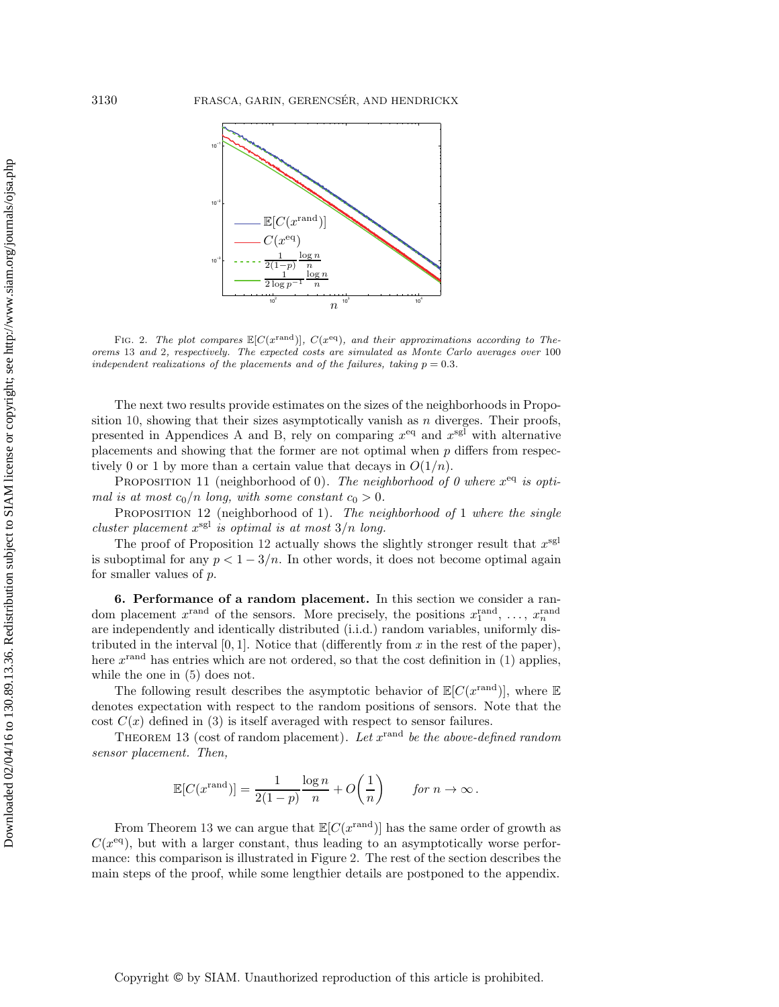

<span id="page-10-2"></span>FIG. 2. The plot compares  $\mathbb{E}[C(x^{\text{rand}})]$ ,  $C(x^{\text{eq}})$ , and their approximations according to The*orems* [13](#page-10-0) *and* [2](#page-4-0)*, respectively. The expected costs are simulated as Monte Carlo averages over* 100 *independent realizations of the placements and of the failures, taking*  $p = 0.3$ *.* 

The next two results provide estimates on the sizes of the neighborhoods in Propo-sition [10,](#page-9-1) showing that their sizes asymptotically vanish as  $n$  diverges. Their proofs, presented in [A](#page-14-1)ppendices A and [B,](#page-17-0) rely on comparing  $x^{\text{eq}}$  and  $x^{\text{sgl}}$  with alternative placements and showing that the former are not optimal when p differs from respectively 0 or 1 by more than a certain value that decays in  $O(1/n)$ .

<span id="page-10-4"></span>PROPOSITION 11 (neighborhood of 0). *The neighborhood of 0 where*  $x^{eq}$  *is optimal is at most*  $c_0/n$  *long, with some constant*  $c_0 > 0$ *.* 

<span id="page-10-3"></span>Proposition 12 (neighborhood of 1). *The neighborhood of* 1 *where the single cluster placement*  $x^{sgl}$  *is optimal is at most*  $3/n$  *long.* 

The proof of Proposition [12](#page-10-3) actually shows the slightly stronger result that  $x^{\text{sgl}}$ is suboptimal for any  $p < 1-3/n$ . In other words, it does not become optimal again for smaller values of p.

<span id="page-10-1"></span>**6. Performance of a random placement.** In this section we consider a random placement  $x^{\text{rand}}$  of the sensors. More precisely, the positions  $x_1^{\text{rand}}, \ldots, x_n^{\text{rand}}$ are independently and identically distributed (i.i.d.) random variables, uniformly distributed in the interval  $[0, 1]$ . Notice that (differently from x in the rest of the paper), here  $x^{\text{rand}}$  has entries which are not ordered, so that the cost definition in [\(1\)](#page-2-1) applies, while the one in [\(5\)](#page-2-5) does not.

The following result describes the asymptotic behavior of  $\mathbb{E}[C(x^{\text{rand}})]$ , where  $\mathbb E$ denotes expectation with respect to the random positions of sensors. Note that the cost  $C(x)$  defined in [\(3\)](#page-2-2) is itself averaged with respect to sensor failures.

<span id="page-10-0"></span>THEOREM 13 (cost of random placement). Let  $x^{\text{rand}}$  be the above-defined random *sensor placement. Then,*

$$
\mathbb{E}[C(x^{\text{rand}})] = \frac{1}{2(1-p)} \frac{\log n}{n} + O\left(\frac{1}{n}\right) \quad \text{for } n \to \infty \, .
$$

From Theorem [13](#page-10-0) we can argue that  $\mathbb{E}[C(x^{\text{rand}})]$  has the same order of growth as  $C(x<sup>eq</sup>)$ , but with a larger constant, thus leading to an asymptotically worse performance: this comparison is illustrated in Figure [2.](#page-10-2) The rest of the section describes the main steps of the proof, while some lengthier details are postponed to the appendix.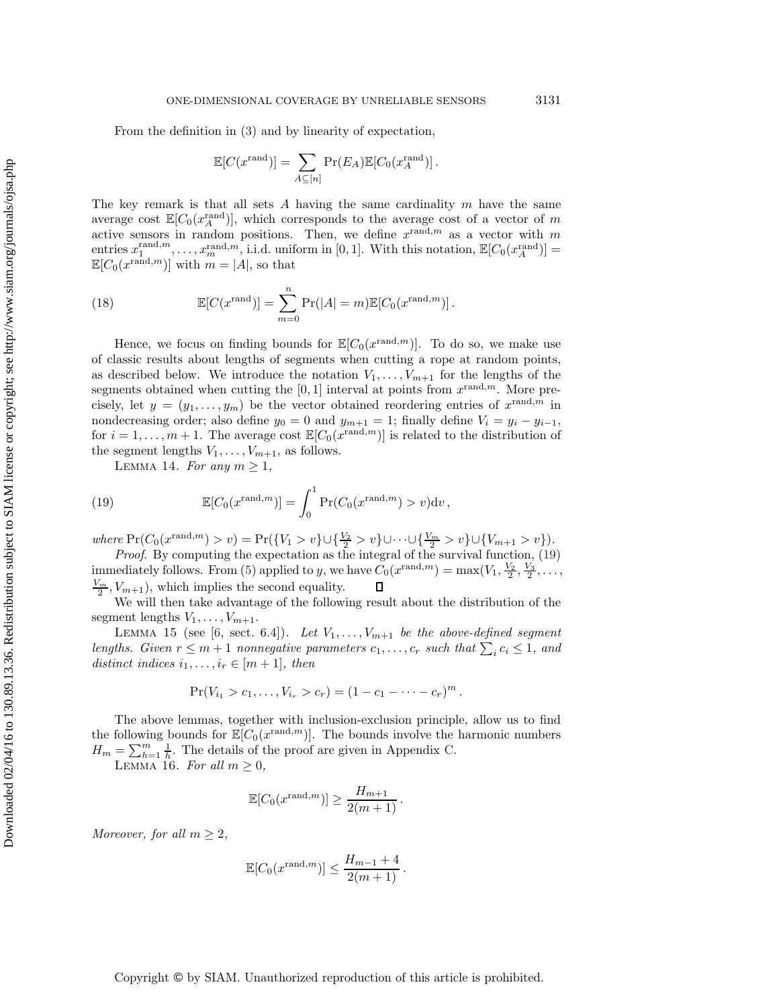From the definition in [\(3\)](#page-2-2) and by linearity of expectation,

<span id="page-11-4"></span>
$$
\mathbb{E}[C(x^{\text{rand}})] = \sum_{A \subseteq [n]} \Pr(E_A) \mathbb{E}[C_0(x_A^{\text{rand}})].
$$

The key remark is that all sets A having the same cardinality  $m$  have the same average cost  $\mathbb{E}[C_0(x_A^{\text{rand}})]$ , which corresponds to the average cost of a vector of m active sensors in random positions. Then, we define  $x^{\text{rand},m}$  as a vector with m entries  $x_1^{\text{rand},m}, \ldots, x_m^{\text{rand},m}$ , i.i.d. uniform in [0, 1]. With this notation,  $\mathbb{E}[C_0(x_A^{\text{rand}})] =$  $\mathbb{E}[C_0(x^{\text{rand},m})]$  with  $m = |A|$ , so that

(18) 
$$
\mathbb{E}[C(x^{\text{rand}})] = \sum_{m=0}^{n} \Pr(|A| = m) \mathbb{E}[C_0(x^{\text{rand},m})].
$$

Hence, we focus on finding bounds for  $\mathbb{E}[C_0(x^{\text{rand},m})]$ . To do so, we make use of classic results about lengths of segments when cutting a rope at random points, as described below. We introduce the notation  $V_1, \ldots, V_{m+1}$  for the lengths of the segments obtained when cutting the  $[0, 1]$  interval at points from  $x^{\text{rand},m}$ . More precisely, let  $y = (y_1, \ldots, y_m)$  be the vector obtained reordering entries of  $x^{\text{rand},m}$  in nondecreasing order; also define  $y_0 = 0$  and  $y_{m+1} = 1$ ; finally define  $V_i = y_i - y_{i-1}$ , for  $i = 1, ..., m + 1$ . The average cost  $\mathbb{E}[C_0(x^{\text{rand},m})]$  is related to the distribution of the segment lengths  $V_1, \ldots, V_{m+1}$ , as follows.

<span id="page-11-2"></span><span id="page-11-0"></span>LEMMA 14. For any  $m \geq 1$ ,

(19) 
$$
\mathbb{E}[C_0(x^{\text{rand},m})] = \int_0^1 \Pr(C_0(x^{\text{rand},m}) > v) \mathrm{d}v,
$$

 $where \Pr(C_0(x^{\text{rand},m}) > v) = \Pr(\{V_1 > v\} \cup \{\frac{V_2}{2} > v\} \cup \cdots \cup \{\frac{V_m}{2} > v\} \cup \{V_{m+1} > v\}).$ *Proof*. By computing the expectation as the integral of the survival function, [\(19\)](#page-11-0)

immediately follows. From [\(5\)](#page-2-5) applied to y, we have  $C_0(x^{\text{rand},m}) = \max(V_1, \frac{V_2}{2}, \frac{V_3}{2}, \ldots, \frac{V_m}{2}, V_{m-1})$ , which implies the second equality.  $\frac{V_m}{2}$ ,  $V_{m+1}$ , which implies the second equality.

We will then take advantage of the following result about the distribution of the segment lengths  $V_1, \ldots, V_{m+1}$ .

LEMMA 15 (see [\[6,](#page-19-8) sect. 6.4]). Let  $V_1, \ldots, V_{m+1}$  be the above-defined segment *lengths. Given*  $r \leq m+1$  *nonnegative parameters*  $c_1, \ldots, c_r$  *such that*  $\sum_i c_i \leq 1$ *, and distinct indices*  $i_1, \ldots, i_r \in [m+1]$ , then

<span id="page-11-3"></span>
$$
Pr(V_{i_1} > c_1, \ldots, V_{i_r} > c_r) = (1 - c_1 - \cdots - c_r)^m.
$$

The above lemmas, together with inclusion-exclusion principle, allow us to find the following bounds for  $\mathbb{E}[C_0(x^{\text{rand},m})]$ . The bounds involve the harmonic numbers  $H_m = \sum_{h=1}^m \frac{1}{h}$ . The details of the proof are given in Appendix [C.](#page-17-1)

LEMMA 16. For all  $m \geq 0$ ,

<span id="page-11-1"></span>
$$
\mathbb{E}[C_0(x^{\text{rand},m})] \ge \frac{H_{m+1}}{2(m+1)}.
$$

*Moreover, for all*  $m \geq 2$ *,* 

$$
\mathbb{E}[C_0(x^{\text{rand},m})] \le \frac{H_{m-1}+4}{2(m+1)}.
$$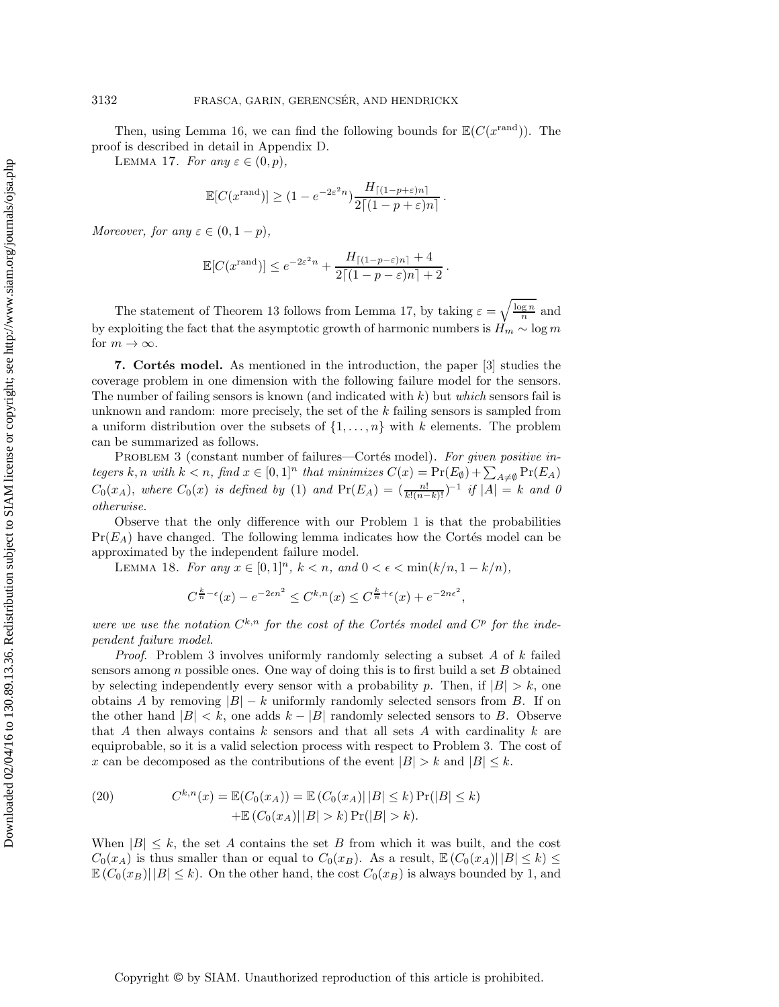Then, using Lemma [16,](#page-11-1) we can find the following bounds for  $\mathbb{E}(C(x^{\text{rand}}))$ . The proof is described in detail in Appendix [D.](#page-18-0)

LEMMA 17. *For any*  $\varepsilon \in (0, p)$ ,

<span id="page-12-1"></span>
$$
\mathbb{E}[C(x^{\text{rand}})] \ge (1 - e^{-2\varepsilon^2 n}) \frac{H_{\lceil(1-p+\varepsilon)n\rceil}}{2\lceil(1-p+\varepsilon)n\rceil}.
$$

*Moreover, for any*  $\varepsilon \in (0, 1-p)$ *,* 

$$
\mathbb{E}[C(x^{\text{rand}})] \le e^{-2\varepsilon^2 n} + \frac{H_{\lceil(1-p-\varepsilon)n\rceil}+4}{2\lceil(1-p-\varepsilon)n\rceil+2}.
$$

The statement of Theorem [13](#page-10-0) follows from Lemma [17,](#page-12-1) by taking  $\varepsilon = \sqrt{\frac{\log n}{n}}$  and by exploiting the fact that the asymptotic growth of harmonic numbers is  $H_m \sim \log m$ for  $m \to \infty$ .

<span id="page-12-0"></span>**7. Cortés model.** As mentioned in the introduction, the paper [\[3\]](#page-19-6) studies the coverage problem in one dimension with the following failure model for the sensors. The number of failing sensors is known (and indicated with k) but *which* sensors fail is unknown and random: more precisely, the set of the  $k$  failing sensors is sampled from a uniform distribution over the subsets of  $\{1,\ldots,n\}$  with k elements. The problem can be summarized as follows.

<span id="page-12-2"></span>PROBLEM 3 (constant number of failures—Cortés model). For given positive in*tegers* k, n with  $k < n$ , find  $x \in [0,1]^n$  *that minimizes*  $C(x) = Pr(E_\emptyset) + \sum_{A \neq \emptyset} Pr(E_A)$  $C_0(x_A)$ , where  $C_0(x)$  *is defined by* [\(1\)](#page-2-1) *and*  $Pr(E_A) = (\frac{n!}{k!(n-k)!})^{-1}$  *if*  $|A| = k$  *and* 0 *otherwise.*

Observe that the only difference with our Problem [1](#page-2-4) is that the probabilities  $Pr(E_A)$  have changed. The following lemma indicates how the Cortés model can be approximated by the independent failure model.

<span id="page-12-4"></span>LEMMA 18. For any  $x \in [0,1]^n$ ,  $k < n$ , and  $0 < \epsilon < \min(k/n, 1 - k/n)$ ,

$$
C^{\frac{k}{n}-\epsilon}(x) - e^{-2\epsilon n^2} \leq C^{k,n}(x) \leq C^{\frac{k}{n}+\epsilon}(x) + e^{-2n\epsilon^2},
$$

were we use the notation  $C^{k,n}$  for the cost of the Cortés model and  $C^p$  for the inde*pendent failure model.*

*Proof*. Problem [3](#page-12-2) involves uniformly randomly selecting a subset A of k failed sensors among n possible ones. One way of doing this is to first build a set  $B$  obtained by selecting independently every sensor with a probability p. Then, if  $|B| > k$ , one obtains A by removing  $|B| - k$  uniformly randomly selected sensors from B. If on the other hand  $|B| < k$ , one adds  $k - |B|$  randomly selected sensors to B. Observe that A then always contains  $k$  sensors and that all sets A with cardinality  $k$  are equiprobable, so it is a valid selection process with respect to Problem [3.](#page-12-2) The cost of x can be decomposed as the contributions of the event  $|B| > k$  and  $|B| \leq k$ .

<span id="page-12-3"></span>(20) 
$$
C^{k,n}(x) = \mathbb{E}(C_0(x_A)) = \mathbb{E}(C_0(x_A) | |B| \le k) \Pr(|B| \le k) + \mathbb{E}(C_0(x_A) | |B| > k) \Pr(|B| > k).
$$

When  $|B| \leq k$ , the set A contains the set B from which it was built, and the cost  $C_0(x_A)$  is thus smaller than or equal to  $C_0(x_B)$ . As a result,  $\mathbb{E}(C_0(x_A)||B| \leq k) \leq$  $\mathbb{E}\left(C_0(x) || B | \leq k\right)$ . On the other hand, the cost  $C_0(x)$  is always bounded by 1, and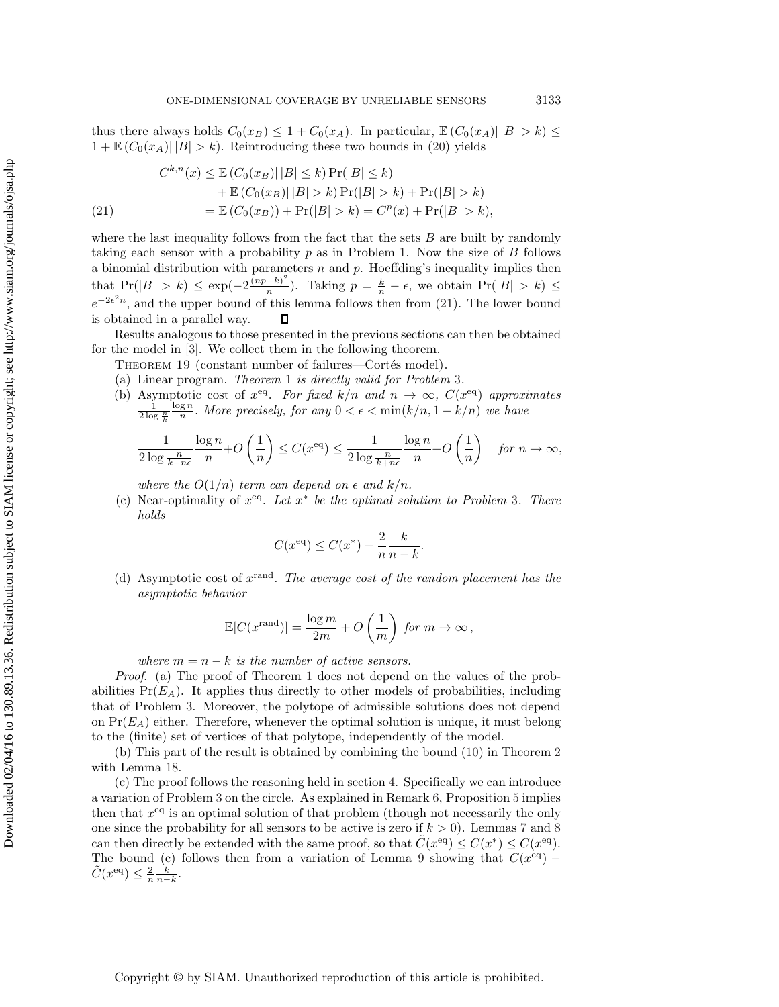thus there always holds  $C_0(x_B) \leq 1 + C_0(x_A)$ . In particular,  $\mathbb{E}(C_0(x_A) | B > k) \leq$  $1 + \mathbb{E}(C_0(x_A) | B| > k)$ . Reintroducing these two bounds in [\(20\)](#page-12-3) yields

(21) 
$$
C^{k,n}(x) \leq \mathbb{E} (C_0(x_B) | |B| \leq k) \Pr(|B| \leq k) + \mathbb{E} (C_0(x_B) | |B| > k) \Pr(|B| > k) + \Pr(|B| > k) = \mathbb{E} (C_0(x_B)) + \Pr(|B| > k) = C^p(x) + \Pr(|B| > k),
$$

<span id="page-13-0"></span>where the last inequality follows from the fact that the sets  $B$  are built by randomly taking each sensor with a probability  $p$  as in Problem [1.](#page-2-4) Now the size of  $B$  follows a binomial distribution with parameters  $n$  and  $p$ . Hoeffding's inequality implies then that  $Pr(|B| > k) \leq exp(-2^{\frac{(np-k)^2}{n}})$ . Taking  $p = \frac{k}{n} - \epsilon$ , we obtain  $Pr(|B| > k) \leq$  $e^{-2\epsilon^2 n}$ , and the upper bound of this lemma follows then from [\(21\)](#page-13-0). The lower bound is obtained in a parallel way.

Results analogous to those presented in the previous sections can then be obtained for the model in [\[3\]](#page-19-6). We collect them in the following theorem.

THEOREM 19 (constant number of failures—Cortés model).

- (a) Linear program. *Theorem* [1](#page-3-0) *is directly valid for Problem* [3](#page-12-2)*.*
- (b) Asymptotic cost of  $x^{eq}$ . *For fixed*  $k/n$  *and*  $n \to \infty$ *,*  $C(x^{eq})$  *approximates*  $\frac{1}{2 \log \frac{n}{k}}$  $\frac{\log n}{n}$ . More precisely, for any  $0 < \epsilon < \min(k/n, 1 - k/n)$  we have

$$
\frac{1}{2\log\frac{n}{k-n\epsilon}}\frac{\log n}{n} + O\left(\frac{1}{n}\right) \le C(x^{\text{eq}}) \le \frac{1}{2\log\frac{n}{k+n\epsilon}}\frac{\log n}{n} + O\left(\frac{1}{n}\right) \quad \text{for } n \to \infty,
$$

*where the*  $O(1/n)$  *term can depend on*  $\epsilon$  *and*  $k/n$ *.* 

(c) Near-optimality of xeq. *Let* x<sup>∗</sup> *be the optimal solution to Problem* [3](#page-12-2)*. There holds*

$$
C(x^{\text{eq}}) \leq C(x^*) + \frac{2}{n} \frac{k}{n-k}.
$$

(d) Asymptotic cost of xrand. *The average cost of the random placement has the asymptotic behavior*

$$
\mathbb{E}[C(x^{\text{rand}})] = \frac{\log m}{2m} + O\left(\frac{1}{m}\right) \text{ for } m \to \infty,
$$

*where*  $m = n - k$  *is the number of active sensors.* 

*Proof*. (a) The proof of Theorem [1](#page-3-0) does not depend on the values of the probabilities  $Pr(E_A)$ . It applies thus directly to other models of probabilities, including that of Problem [3.](#page-12-2) Moreover, the polytope of admissible solutions does not depend on  $Pr(E_A)$  either. Therefore, whenever the optimal solution is unique, it must belong to the (finite) set of vertices of that polytope, independently of the model.

(b) This part of the result is obtained by combining the bound [\(10\)](#page-4-3) in Theorem [2](#page-4-0) with Lemma [18.](#page-12-4)

(c) The proof follows the reasoning held in section [4.](#page-4-1) Specifically we can introduce a variation of Problem [3](#page-12-2) on the circle. As explained in Remark [6,](#page-7-0) Proposition [5](#page-6-2) implies then that  $x^{eq}$  is an optimal solution of that problem (though not necessarily the only one since the probability for all sensors to be active is zero if  $k > 0$ ). Lemmas [7](#page-8-2) and [8](#page-8-3) can then directly be extended with the same proof, so that  $\tilde{C}(x^{eq}) \leq C(x^*) \leq C(x^{eq})$ . The bound (c) follows then from a variation of Lemma [9](#page-8-5) showing that  $C(x^{eq})$  −  $\tilde{C}(x^{\text{eq}}) \leq \frac{2}{n} \frac{k'}{n-k}.$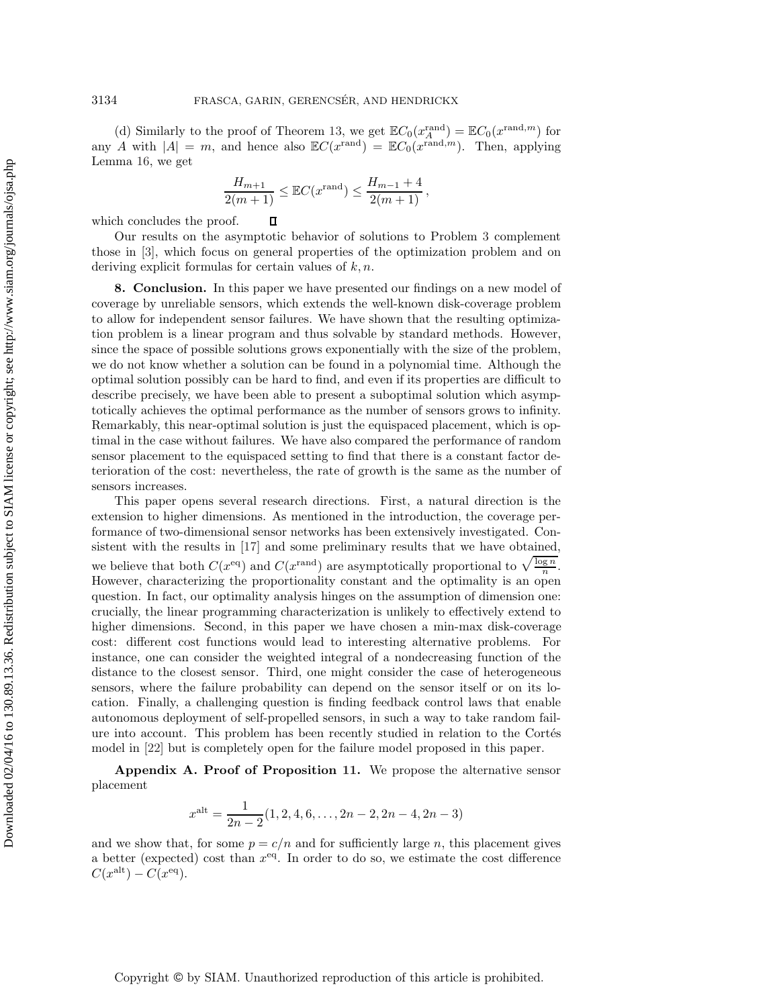(d) Similarly to the proof of Theorem [13,](#page-10-0) we get  $\mathbb{E}C_0(x_A^{\text{rand}}) = \mathbb{E}C_0(x^{\text{rand},m})$  for any A with  $|A| = m$ , and hence also  $\mathbb{E}C(x^{\text{rand}}) = \mathbb{E}C_0(x^{\text{rand},m})$ . Then, applying Lemma [16,](#page-11-1) we get

$$
\frac{H_{m+1}}{2(m+1)} \leq \mathbb{E}C(x^{\text{rand}}) \leq \frac{H_{m-1}+4}{2(m+1)},
$$

which concludes the proof.

Our results on the asymptotic behavior of solutions to Problem [3](#page-12-2) complement those in [\[3\]](#page-19-6), which focus on general properties of the optimization problem and on deriving explicit formulas for certain values of  $k, n$ .

 $\Box$ 

<span id="page-14-0"></span>**8. Conclusion.** In this paper we have presented our findings on a new model of coverage by unreliable sensors, which extends the well-known disk-coverage problem to allow for independent sensor failures. We have shown that the resulting optimization problem is a linear program and thus solvable by standard methods. However, since the space of possible solutions grows exponentially with the size of the problem, we do not know whether a solution can be found in a polynomial time. Although the optimal solution possibly can be hard to find, and even if its properties are difficult to describe precisely, we have been able to present a suboptimal solution which asymptotically achieves the optimal performance as the number of sensors grows to infinity. Remarkably, this near-optimal solution is just the equispaced placement, which is optimal in the case without failures. We have also compared the performance of random sensor placement to the equispaced setting to find that there is a constant factor deterioration of the cost: nevertheless, the rate of growth is the same as the number of sensors increases.

This paper opens several research directions. First, a natural direction is the extension to higher dimensions. As mentioned in the introduction, the coverage performance of two-dimensional sensor networks has been extensively investigated. Consistent with the results in [\[17\]](#page-20-2) and some preliminary results that we have obtained, we believe that both  $C(x^{eq})$  and  $C(x^{rand})$  are asymptotically proportional to  $\sqrt{\frac{\log n}{n}}$ . However, characterizing the proportionality constant and the optimality is an open question. In fact, our optimality analysis hinges on the assumption of dimension one: crucially, the linear programming characterization is unlikely to effectively extend to higher dimensions. Second, in this paper we have chosen a min-max disk-coverage cost: different cost functions would lead to interesting alternative problems. For instance, one can consider the weighted integral of a nondecreasing function of the distance to the closest sensor. Third, one might consider the case of heterogeneous sensors, where the failure probability can depend on the sensor itself or on its location. Finally, a challenging question is finding feedback control laws that enable autonomous deployment of self-propelled sensors, in such a way to take random failure into account. This problem has been recently studied in relation to the Cortés model in [\[22\]](#page-20-16) but is completely open for the failure model proposed in this paper.

<span id="page-14-1"></span>**Appendix A. Proof of Proposition [11.](#page-10-4)** We propose the alternative sensor placement

$$
x^{\text{alt}} = \frac{1}{2n-2}(1, 2, 4, 6, \dots, 2n-2, 2n-4, 2n-3)
$$

and we show that, for some  $p = c/n$  and for sufficiently large n, this placement gives a better (expected) cost than  $x^{eq}$ . In order to do so, we estimate the cost difference  $C(x^{\text{alt}}) - C(x^{\text{eq}}).$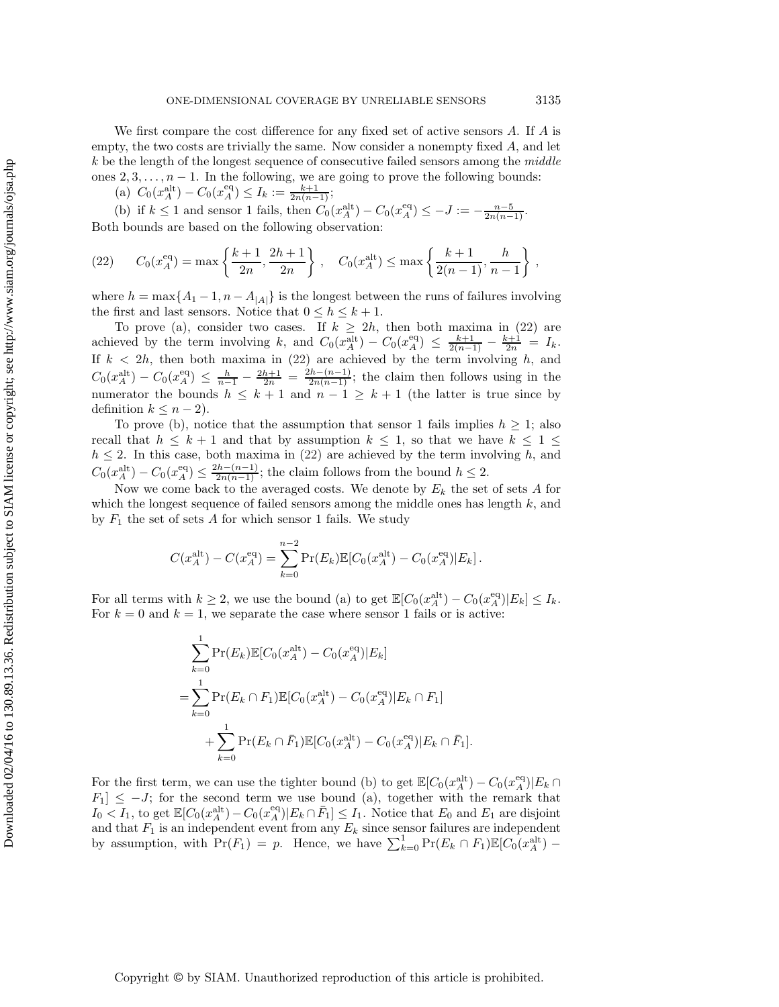We first compare the cost difference for any fixed set of active sensors  $A$ . If  $A$  is empty, the two costs are trivially the same. Now consider a nonempty fixed A, and let k be the length of the longest sequence of consecutive failed sensors among the *middle* ones  $2, 3, \ldots, n-1$ . In the following, we are going to prove the following bounds:

<span id="page-15-0"></span>(a)  $C_0(x_A^{\text{alt}}) - C_0(x_A^{\text{eq}}) \le I_k := \frac{k+1}{2n(n-1)};$ 

(b) if  $k \le 1$  and sensor 1 fails, then  $C_0(x_A^{\text{alt}}) - C_0(x_A^{\text{eq}}) \le -J := -\frac{n-5}{2n(n-1)}$ . Both bounds are based on the following observation:

(22) 
$$
C_0(x_A^{\text{eq}}) = \max\left\{\frac{k+1}{2n}, \frac{2h+1}{2n}\right\}, \quad C_0(x_A^{\text{alt}}) \le \max\left\{\frac{k+1}{2(n-1)}, \frac{h}{n-1}\right\},
$$

where  $h = \max\{A_1 - 1, n - A_{|A|}\}\$ is the longest between the runs of failures involving the first and last sensors. Notice that  $0 \leq h \leq k+1$ .

To prove (a), consider two cases. If  $k \geq 2h$ , then both maxima in [\(22\)](#page-15-0) are achieved by the term involving k, and  $C_0(x_A^{\text{alt}}) - C_0(x_A^{\text{eq}}) \leq \frac{k+1}{2(n-1)} - \frac{k+1}{2n} = I_k$ . If  $k < 2h$ , then both maxima in [\(22\)](#page-15-0) are achieved by the term involving h, and  $C_0(x_A^{\text{alt}}) - C_0(x_A^{\text{eq}}) \leq \frac{h}{n-1} - \frac{2h+1}{2n} = \frac{2h-(n-1)}{2n(n-1)}$ ; the claim then follows using in the numerator the bounds  $h \leq k+1$  and  $n-1 \geq k+1$  (the latter is true since by definition  $k \leq n-2$ ).

To prove (b), notice that the assumption that sensor 1 fails implies  $h \geq 1$ ; also recall that  $h \leq k+1$  and that by assumption  $k \leq 1$ , so that we have  $k \leq 1 \leq$  $h \leq 2$ . In this case, both maxima in [\(22\)](#page-15-0) are achieved by the term involving h, and  $C_0(x_A^{\text{alt}}) - C_0(x_A^{\text{eq}}) \le \frac{2h - (n-1)}{2n(n-1)}$ ; the claim follows from the bound  $h \le 2$ .

Now we come back to the averaged costs. We denote by  $E_k$  the set of sets A for which the longest sequence of failed sensors among the middle ones has length  $k$ , and by  $F_1$  the set of sets A for which sensor 1 fails. We study

$$
C(x_A^{\text{alt}}) - C(x_A^{\text{eq}}) = \sum_{k=0}^{n-2} \Pr(E_k) \mathbb{E}[C_0(x_A^{\text{alt}}) - C_0(x_A^{\text{eq}})|E_k].
$$

For all terms with  $k \geq 2$ , we use the bound (a) to get  $\mathbb{E}[C_0(x_A^{\text{alt}}) - C_0(x_A^{\text{eq}})|E_k] \leq I_k$ . For  $k = 0$  and  $k = 1$ , we separate the case where sensor 1 fails or is active:

$$
\sum_{k=0}^{1} \Pr(E_k) \mathbb{E}[C_0(x_A^{\text{alt}}) - C_0(x_A^{\text{eq}})|E_k]
$$
  
= 
$$
\sum_{k=0}^{1} \Pr(E_k \cap F_1) \mathbb{E}[C_0(x_A^{\text{alt}}) - C_0(x_A^{\text{eq}})|E_k \cap F_1]
$$
  
+ 
$$
\sum_{k=0}^{1} \Pr(E_k \cap \bar{F}_1) \mathbb{E}[C_0(x_A^{\text{alt}}) - C_0(x_A^{\text{eq}})|E_k \cap \bar{F}_1].
$$

For the first term, we can use the tighter bound (b) to get  $\mathbb{E}[C_0(x_A^{\text{alt}}) - C_0(x_A^{\text{eq}})|E_k \cap$  $F_1$   $\leq -J$ ; for the second term we use bound (a), together with the remark that  $I_0 < I_1$ , to get  $\mathbb{E}[C_0(x_A^{\text{alt}}) - C_0(x_A^{\text{eq}})|E_k \cap \bar{F}_1] \leq I_1$ . Notice that  $E_0$  and  $E_1$  are disjoint and that  $F_1$  is an independent event from any  $E_k$  since sensor failures are independent by assumption, with  $Pr(F_1) = p$ . Hence, we have  $\sum_{k=0}^{1} Pr(E_k \cap F_1) \mathbb{E}[C_0(x_A^{\text{alt}}) -$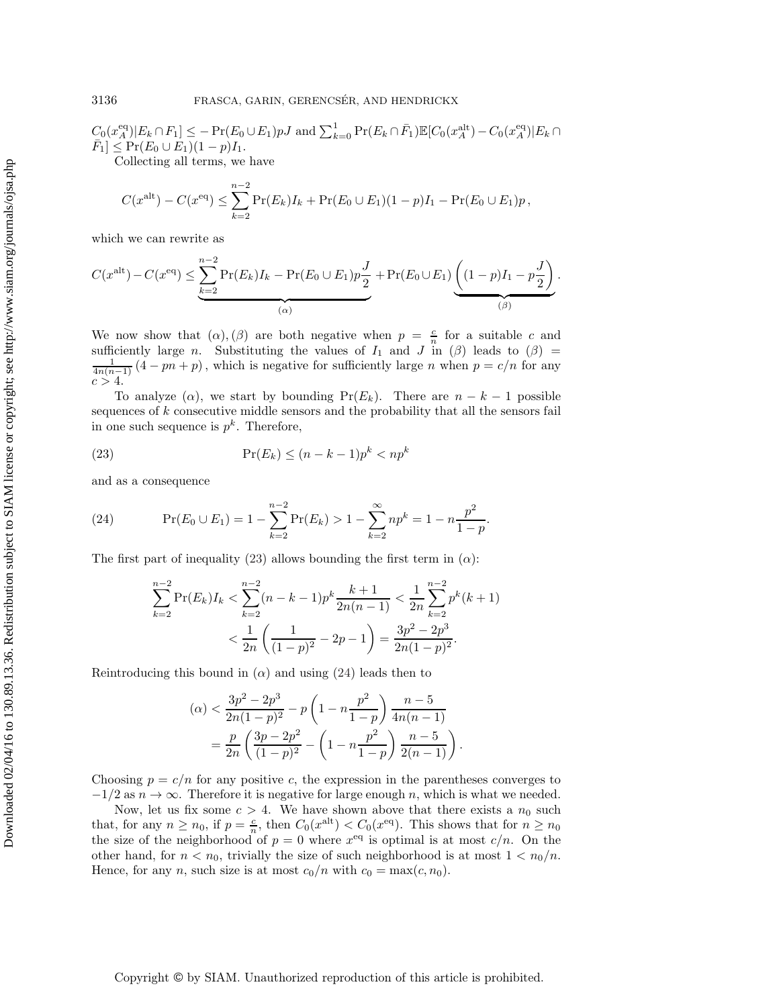$C_0(x_A^{\text{eq}})|E_k \cap F_1] \le -\Pr(E_0 \cup E_1)pJ$  and  $\sum_{k=0}^{1} \Pr(E_k \cap \bar{F}_1) \mathbb{E}[C_0(x_A^{\text{alt}}) - C_0(x_A^{\text{eq}})|E_k \cap F_1]$  $\bar{F}_1$ ]  $\leq \Pr(E_0 \cup E_1)(1-p)I_1$ .

Collecting all terms, we have

$$
C(x^{\text{alt}}) - C(x^{\text{eq}}) \leq \sum_{k=2}^{n-2} \Pr(E_k) I_k + \Pr(E_0 \cup E_1)(1-p)I_1 - \Pr(E_0 \cup E_1)p,
$$

which we can rewrite as

$$
C(x^{\text{alt}}) - C(x^{\text{eq}}) \leq \underbrace{\sum_{k=2}^{n-2} \Pr(E_k) I_k - \Pr(E_0 \cup E_1) p \frac{J}{2}}_{(\alpha)} + \Pr(E_0 \cup E_1) \underbrace{\left( (1-p) I_1 - p \frac{J}{2} \right)}_{(\beta)}.
$$

We now show that  $(\alpha)$ ,  $(\beta)$  are both negative when  $p = \frac{c}{n}$  for a suitable c and sufficiently large n. Substituting the values of  $I_1$  and  $J$  in  $(\beta)$  leads to  $(\beta)$  =  $\frac{1}{4n(n-1)}(4 - pn + p)$ , which is negative for sufficiently large n when  $p = c/n$  for any  $c > 4$ .

To analyze  $(\alpha)$ , we start by bounding Pr( $E_k$ ). There are  $n - k - 1$  possible sequences of  $k$  consecutive middle sensors and the probability that all the sensors fail in one such sequence is  $p^k$ . Therefore,

<span id="page-16-0"></span>(23) 
$$
\Pr(E_k) \le (n - k - 1)p^k < np^k
$$

and as a consequence

(24) 
$$
\Pr(E_0 \cup E_1) = 1 - \sum_{k=2}^{n-2} \Pr(E_k) > 1 - \sum_{k=2}^{\infty} np^k = 1 - n \frac{p^2}{1-p}.
$$

The first part of inequality [\(23\)](#page-16-0) allows bounding the first term in  $(\alpha)$ :

<span id="page-16-1"></span>
$$
\sum_{k=2}^{n-2} \Pr(E_k) I_k < \sum_{k=2}^{n-2} (n-k-1)p^k \frac{k+1}{2n(n-1)} < \frac{1}{2n} \sum_{k=2}^{n-2} p^k (k+1) \\
&< \frac{1}{2n} \left( \frac{1}{(1-p)^2} - 2p - 1 \right) = \frac{3p^2 - 2p^3}{2n(1-p)^2}.
$$

Reintroducing this bound in  $(\alpha)$  and using [\(24\)](#page-16-1) leads then to

$$
(\alpha) < \frac{3p^2 - 2p^3}{2n(1-p)^2} - p\left(1 - n\frac{p^2}{1-p}\right) \frac{n-5}{4n(n-1)}
$$
  
= 
$$
\frac{p}{2n} \left(\frac{3p - 2p^2}{(1-p)^2} - \left(1 - n\frac{p^2}{1-p}\right) \frac{n-5}{2(n-1)}\right).
$$

Choosing  $p = c/n$  for any positive c, the expression in the parentheses converges to  $-1/2$  as  $n \to \infty$ . Therefore it is negative for large enough n, which is what we needed.

Now, let us fix some  $c > 4$ . We have shown above that there exists a  $n_0$  such that, for any  $n \ge n_0$ , if  $p = \frac{c}{n}$ , then  $C_0(x^{\text{alt}}) < C_0(x^{\text{eq}})$ . This shows that for  $n \ge n_0$ the size of the neighborhood of  $p = 0$  where  $x^{eq}$  is optimal is at most  $c/n$ . On the other hand, for  $n < n_0$ , trivially the size of such neighborhood is at most  $1 < n_0/n$ . Hence, for any n, such size is at most  $c_0/n$  with  $c_0 = \max(c, n_0)$ .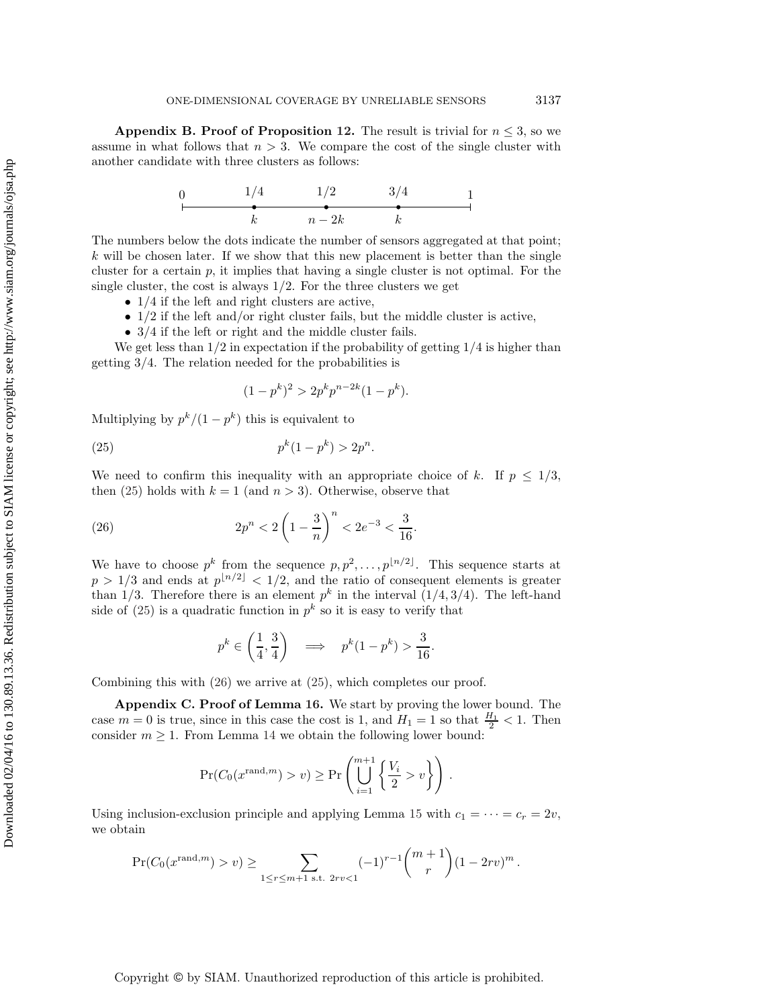<span id="page-17-0"></span>**Appendix B. Proof of Proposition [12.](#page-10-3)** The result is trivial for  $n \leq 3$ , so we assume in what follows that  $n > 3$ . We compare the cost of the single cluster with another candidate with three clusters as follows:

$$
\begin{array}{c|cccc}\n0 & 1/4 & 1/2 & 3/4 & 1 \\
\hline\n& k & n-2k & k\n\end{array}
$$

The numbers below the dots indicate the number of sensors aggregated at that point;  $k$  will be chosen later. If we show that this new placement is better than the single cluster for a certain  $p$ , it implies that having a single cluster is not optimal. For the single cluster, the cost is always  $1/2$ . For the three clusters we get

- $\bullet$  1/4 if the left and right clusters are active,
- $\bullet$  1/2 if the left and/or right cluster fails, but the middle cluster is active,
- 3/4 if the left or right and the middle cluster fails.

We get less than  $1/2$  in expectation if the probability of getting  $1/4$  is higher than getting 3/4. The relation needed for the probabilities is

<span id="page-17-3"></span><span id="page-17-2"></span>
$$
(1 - p^k)^2 > 2p^k p^{n-2k} (1 - p^k).
$$

Multiplying by  $p^{k}/(1-p^{k})$  this is equivalent to

(25) 
$$
p^k(1-p^k) > 2p^n.
$$

We need to confirm this inequality with an appropriate choice of k. If  $p \leq 1/3$ , then [\(25\)](#page-17-2) holds with  $k = 1$  (and  $n > 3$ ). Otherwise, observe that

(26) 
$$
2p^{n} < 2\left(1 - \frac{3}{n}\right)^{n} < 2e^{-3} < \frac{3}{16}.
$$

We have to choose  $p^k$  from the sequence  $p, p^2, \ldots, p^{\lfloor n/2 \rfloor}$ . This sequence starts at  $p > 1/3$  and ends at  $p^{\lfloor n/2 \rfloor} < 1/2$ , and the ratio of consequent elements is greater than 1/3. Therefore there is an element  $p^k$  in the interval  $(1/4, 3/4)$ . The left-hand side of [\(25\)](#page-17-2) is a quadratic function in  $p^k$  so it is easy to verify that

$$
p^k \in \left(\frac{1}{4}, \frac{3}{4}\right) \quad \Longrightarrow \quad p^k(1-p^k) > \frac{3}{16}.
$$

<span id="page-17-1"></span>Combining this with [\(26\)](#page-17-3) we arrive at [\(25\)](#page-17-2), which completes our proof.

**Appendix C. Proof of Lemma [16.](#page-11-1)** We start by proving the lower bound. The case  $m = 0$  is true, since in this case the cost is 1, and  $H_1 = 1$  so that  $\frac{H_1}{2} < 1$ . Then consider  $m \geq 1$ . From Lemma [14](#page-11-2) we obtain the following lower bound:

$$
\Pr(C_0(x^{\text{rand},m}) > v) \ge \Pr\left(\bigcup_{i=1}^{m+1} \left\{\frac{V_i}{2} > v\right\}\right).
$$

Using inclusion-exclusion principle and applying Lemma [15](#page-11-3) with  $c_1 = \cdots = c_r = 2v$ , we obtain

$$
\Pr(C_0(x^{\text{rand},m}) > v) \ge \sum_{1 \le r \le m+1 \text{ s.t. } 2rv < 1} (-1)^{r-1} \binom{m+1}{r} (1 - 2rv)^m \, .
$$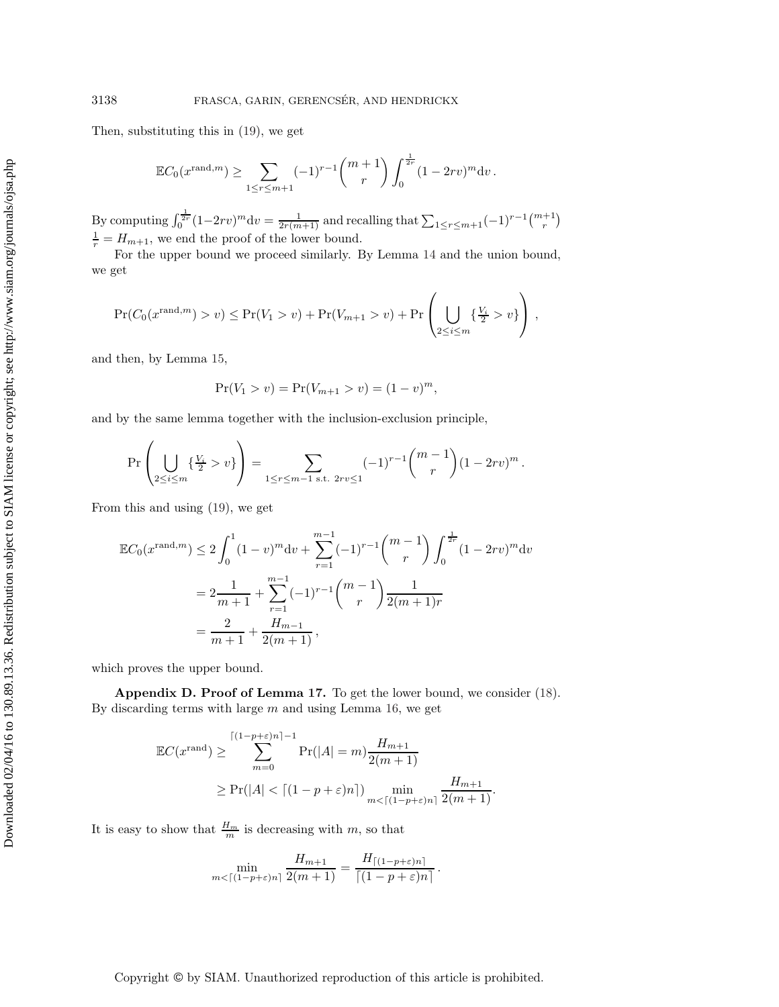Then, substituting this in [\(19\)](#page-11-0), we get

$$
\mathbb{E}C_0(x^{\text{rand},m}) \ge \sum_{1 \le r \le m+1} (-1)^{r-1} \binom{m+1}{r} \int_0^{\frac{1}{2r}} (1 - 2rv)^m \, dv \, .
$$

By computing  $\int_0^{\frac{1}{2r}} (1-2rv)^m dv = \frac{1}{2r(m+1)}$  and recalling that  $\sum_{1 \leq r \leq m+1} (-1)^{r-1} {m+1 \choose r}$  $\frac{1}{r} = H_{m+1}$ , we end the proof of the lower bound.

For the upper bound we proceed similarly. By Lemma [14](#page-11-2) and the union bound, we get

$$
\Pr(C_0(x^{\text{rand},m}) > v) \le \Pr(V_1 > v) + \Pr(V_{m+1} > v) + \Pr\left(\bigcup_{2 \le i \le m} \{ \frac{V_i}{2} > v \} \right),
$$

and then, by Lemma [15,](#page-11-3)

$$
Pr(V_1 > v) = Pr(V_{m+1} > v) = (1 - v)^m,
$$

and by the same lemma together with the inclusion-exclusion principle,

$$
\Pr\left(\bigcup_{2\leq i\leq m}\left\{\frac{V_i}{2}>v\right\}\right)=\sum_{1\leq r\leq m-1 \text{ s.t. } 2rv\leq 1}(-1)^{r-1}\binom{m-1}{r}(1-2rv)^m.
$$

From this and using [\(19\)](#page-11-0), we get

$$
\mathbb{E}C_0(x^{\text{rand},m}) \le 2\int_0^1 (1-v)^m \, dv + \sum_{r=1}^{m-1} (-1)^{r-1} \binom{m-1}{r} \int_0^{\frac{1}{2r}} (1-2rv)^m \, dv
$$
  
=  $2\frac{1}{m+1} + \sum_{r=1}^{m-1} (-1)^{r-1} \binom{m-1}{r} \frac{1}{2(m+1)r}$   
=  $\frac{2}{m+1} + \frac{H_{m-1}}{2(m+1)},$ 

<span id="page-18-0"></span>which proves the upper bound.

**Appendix D. Proof of Lemma [17.](#page-12-1)** To get the lower bound, we consider [\(18\)](#page-11-4). By discarding terms with large  $m$  and using Lemma [16,](#page-11-1) we get

$$
\mathbb{E}C(x^{\text{rand}}) \ge \sum_{m=0}^{\lceil(1-p+\varepsilon)n\rceil-1} \Pr(|A| = m) \frac{H_{m+1}}{2(m+1)}
$$

$$
\ge \Pr(|A| < \lceil(1-p+\varepsilon)n\rceil) \min_{m < \lceil(1-p+\varepsilon)n\rceil} \frac{H_{m+1}}{2(m+1)}.
$$

It is easy to show that  $\frac{H_m}{m}$  is decreasing with m, so that

$$
\min_{m < \lceil (1-p+\varepsilon)n \rceil} \frac{H_{m+1}}{2(m+1)} = \frac{H_{\lceil (1-p+\varepsilon)n \rceil}}{\lceil (1-p+\varepsilon)n \rceil}.
$$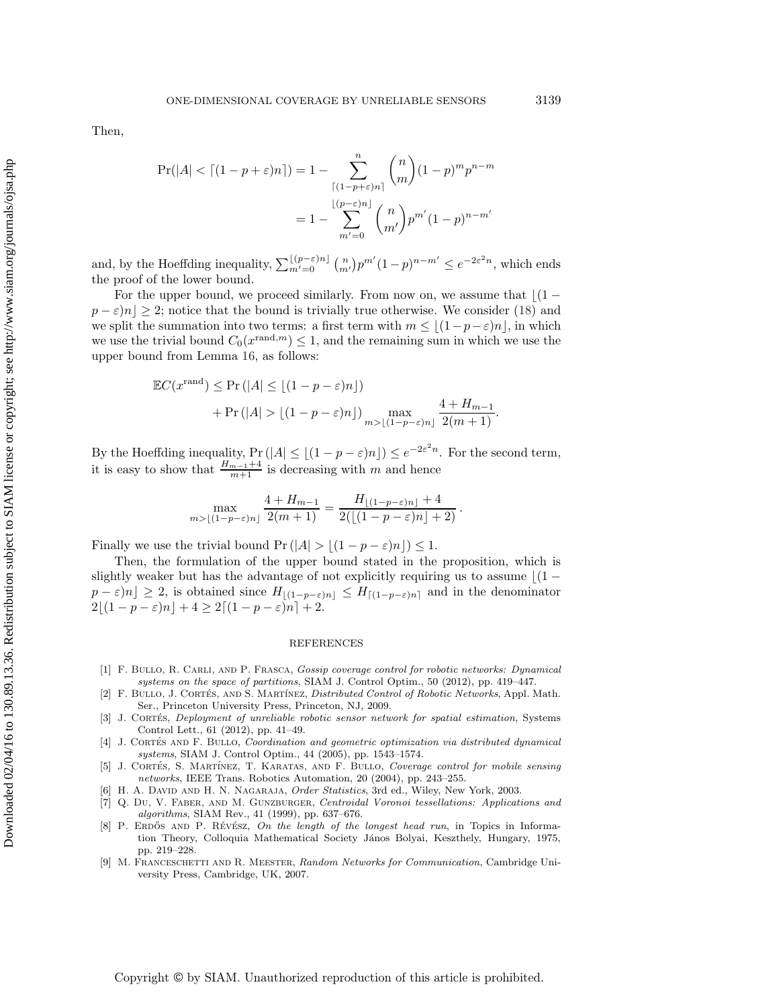Then,

$$
\Pr(|A| < \lceil (1 - p + \varepsilon)n \rceil) = 1 - \sum_{\substack{\lceil (1 - p + \varepsilon)n \rceil \\ w = 1}}^n \binom{n}{m} (1 - p)^m p^{n - m}
$$
\n
$$
= 1 - \sum_{m' = 0}^{\lfloor (p - \varepsilon)n \rfloor} \binom{n}{m'} p^{m'} (1 - p)^{n - m'}
$$

and, by the Hoeffding inequality,  $\sum_{m'=0}^{\lfloor (p-\varepsilon)n \rfloor} \binom{n}{m'} p^{m'} (1-p)^{n-m'} \le e^{-2\varepsilon^2 n}$ , which ends the proof of the lower bound.

For the upper bound, we proceed similarly. From now on, we assume that  $(1$  $p - \varepsilon$  $n \geq 2$ ; notice that the bound is trivially true otherwise. We consider [\(18\)](#page-11-4) and we split the summation into two terms: a first term with  $m \leq \lfloor(1-p-\varepsilon)n\rfloor$ , in which we use the trivial bound  $C_0(x^{\text{rand},m}) \leq 1$ , and the remaining sum in which we use the upper bound from Lemma [16,](#page-11-1) as follows:

$$
\mathbb{E}C(x^{\text{rand}}) \leq \Pr\left(|A| \leq \lfloor (1-p-\varepsilon)n \rfloor\right) + \Pr\left(|A| > \lfloor (1-p-\varepsilon)n \rfloor\right) \max_{m > \lfloor (1-p-\varepsilon)n \rfloor} \frac{4 + H_{m-1}}{2(m+1)}.
$$

By the Hoeffding inequality,  $Pr(|A| \leq \lfloor(1 - p - \varepsilon)n\rfloor) \leq e^{-2\varepsilon^2 n}$ . For the second term, it is easy to show that  $\frac{H_{m-1}+4}{m+1}$  is decreasing with m and hence

$$
\max_{m > \lfloor (1-p-\varepsilon)n \rfloor} \frac{4 + H_{m-1}}{2(m+1)} = \frac{H_{\lfloor (1-p-\varepsilon)n \rfloor} + 4}{2(\lfloor (1-p-\varepsilon)n \rfloor + 2)}.
$$

Finally we use the trivial bound  $Pr(|A| > |(1 - p - \varepsilon)n|) \leq 1$ .

Then, the formulation of the upper bound stated in the proposition, which is slightly weaker but has the advantage of not explicitly requiring us to assume  $(1 [p-\varepsilon]$  = 2, is obtained since  $H_{[(1-p-\varepsilon)n]} \leq H_{[(1-p-\varepsilon)n]}$  and in the denominator  $2|(1-p-\varepsilon)n|+4 \geq 2[(1-p-\varepsilon)n]+2.$ 

#### **REFERENCES**

- <span id="page-19-5"></span>[1] F. Bullo, R. Carli, and P. Frasca, *Gossip coverage control for robotic networks: Dynamical systems on the space of partitions*, SIAM J. Control Optim., 50 (2012), pp. 419–447.
- <span id="page-19-2"></span>[2] F. BULLO, J. CORTÉS, AND S. MARTÍNEZ, *Distributed Control of Robotic Networks*, Appl. Math. Ser., Princeton University Press, Princeton, NJ, 2009.
- <span id="page-19-6"></span>[3] J. CORTÉS, *Deployment of unreliable robotic sensor network for spatial estimation*, Systems Control Lett., 61 (2012), pp. 41–49.
- <span id="page-19-4"></span>[4] J. CORTÉS AND F. BULLO, *Coordination and geometric optimization via distributed dynamical systems*, SIAM J. Control Optim., 44 (2005), pp. 1543–1574.
- <span id="page-19-3"></span>[5] J. CORTÉS, S. MARTÍNEZ, T. KARATAS, AND F. BULLO, *Coverage control for mobile sensing networks*, IEEE Trans. Robotics Automation, 20 (2004), pp. 243–255.
- <span id="page-19-8"></span><span id="page-19-0"></span>[6] H. A. David and H. N. Nagaraja, *Order Statistics*, 3rd ed., Wiley, New York, 2003.
- [7] Q. Du, V. Faber, and M. Gunzburger, *Centroidal Voronoi tessellations: Applications and algorithms*, SIAM Rev., 41 (1999), pp. 637–676.
- <span id="page-19-7"></span>[8] P. ERDŐS AND P. RÉVÉSZ, *On the length of the longest head run*, in Topics in Information Theory, Colloquia Mathematical Society János Bolyai, Keszthely, Hungary, 1975, pp. 219–228.
- <span id="page-19-1"></span>[9] M. Franceschetti and R. Meester, *Random Networks for Communication*, Cambridge University Press, Cambridge, UK, 2007.